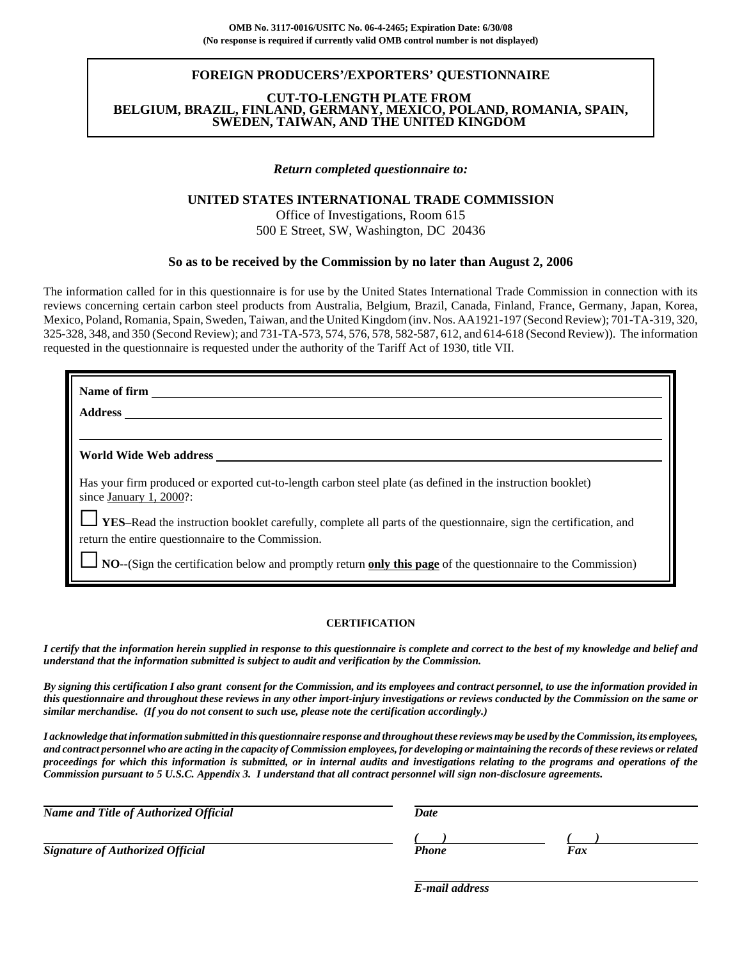### **FOREIGN PRODUCERS'/EXPORTERS' QUESTIONNAIRE**

#### **CUT-TO-LENGTH PLATE FROM BELGIUM, BRAZIL, FINLAND, GERMANY, MEXICO, POLAND, ROMANIA, SPAIN, SWEDEN, TAIWAN, AND THE UNITED KINGDOM**

#### *Return completed questionnaire to:*

### **UNITED STATES INTERNATIONAL TRADE COMMISSION**

Office of Investigations, Room 615 500 E Street, SW, Washington, DC 20436

### **So as to be received by the Commission by no later than August 2, 2006**

The information called for in this questionnaire is for use by the United States International Trade Commission in connection with its reviews concerning certain carbon steel products from Australia, Belgium, Brazil, Canada, Finland, France, Germany, Japan, Korea, Mexico, Poland, Romania, Spain, Sweden, Taiwan, and the United Kingdom (inv. Nos. AA1921-197 (Second Review); 701-TA-319, 320, 325-328, 348, and 350 (Second Review); and 731-TA-573, 574, 576, 578, 582-587, 612, and 614-618 (Second Review)). The information requested in the questionnaire is requested under the authority of the Tariff Act of 1930, title VII.

| Name of firm                                                                                                                              |
|-------------------------------------------------------------------------------------------------------------------------------------------|
| <b>Address</b>                                                                                                                            |
|                                                                                                                                           |
| World Wide Web address <b>Example 20</b>                                                                                                  |
| Has your firm produced or exported cut-to-length carbon steel plate (as defined in the instruction booklet)<br>since January 1, $2000$ ?: |
| <b>LES-Read the instruction booklet carefully, complete all parts of the questionnaire, sign the certification, and</b>                   |
| return the entire questionnaire to the Commission.                                                                                        |
| NO--(Sign the certification below and promptly return only this page of the questionnaire to the Commission)                              |

#### **CERTIFICATION**

*I certify that the information herein supplied in response to this questionnaire is complete and correct to the best of my knowledge and belief and understand that the information submitted is subject to audit and verification by the Commission.*

*By signing this certification I also grant consent for the Commission, and its employees and contract personnel, to use the information provided in this questionnaire and throughout these reviews in any other import-injury investigations or reviews conducted by the Commission on the same or similar merchandise. (If you do not consent to such use, please note the certification accordingly.)*

*I acknowledge that information submitted in this questionnaire response and throughout these reviews may be used by the Commission, its employees, and contract personnel who are acting in the capacity of Commission employees, for developing or maintaining the records of these reviews or related proceedings for which this information is submitted, or in internal audits and investigations relating to the programs and operations of the Commission pursuant to 5 U.S.C. Appendix 3. I understand that all contract personnel will sign non-disclosure agreements.*

| <b>Name and Title of Authorized Official</b> | Date  |     |  |  |
|----------------------------------------------|-------|-----|--|--|
|                                              |       |     |  |  |
| <b>Signature of Authorized Official</b>      | Phone | Fax |  |  |

*E-mail address*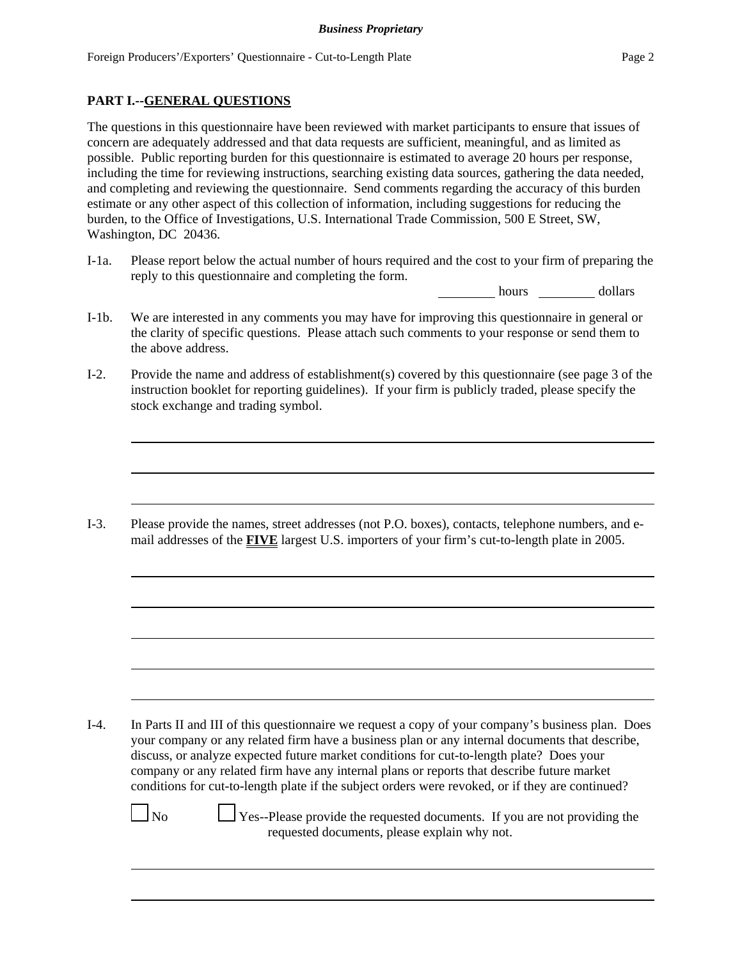## **PART I.--GENERAL QUESTIONS**

The questions in this questionnaire have been reviewed with market participants to ensure that issues of concern are adequately addressed and that data requests are sufficient, meaningful, and as limited as possible. Public reporting burden for this questionnaire is estimated to average 20 hours per response, including the time for reviewing instructions, searching existing data sources, gathering the data needed, and completing and reviewing the questionnaire. Send comments regarding the accuracy of this burden estimate or any other aspect of this collection of information, including suggestions for reducing the burden, to the Office of Investigations, U.S. International Trade Commission, 500 E Street, SW, Washington, DC 20436.

I-1a. Please report below the actual number of hours required and the cost to your firm of preparing the reply to this questionnaire and completing the form.

hours dollars

- I-1b. We are interested in any comments you may have for improving this questionnaire in general or the clarity of specific questions. Please attach such comments to your response or send them to the above address.
- I-2. Provide the name and address of establishment(s) covered by this questionnaire (see page 3 of the instruction booklet for reporting guidelines). If your firm is publicly traded, please specify the stock exchange and trading symbol.

I-3. Please provide the names, street addresses (not P.O. boxes), contacts, telephone numbers, and email addresses of the **FIVE** largest U.S. importers of your firm's cut-to-length plate in 2005.

I-4. In Parts II and III of this questionnaire we request a copy of your company's business plan. Does your company or any related firm have a business plan or any internal documents that describe, discuss, or analyze expected future market conditions for cut-to-length plate? Does your company or any related firm have any internal plans or reports that describe future market conditions for cut-to-length plate if the subject orders were revoked, or if they are continued?

 $\Box$  No  $\Box$  Yes--Please provide the requested documents. If you are not providing the requested documents, please explain why not.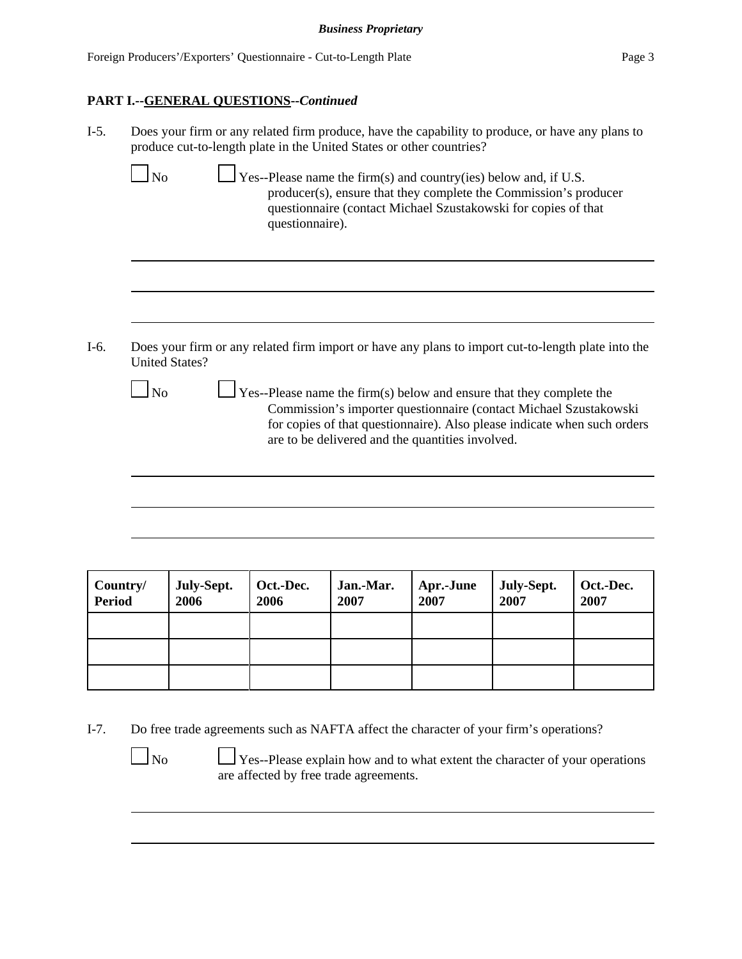# **PART I.--GENERAL QUESTIONS--***Continued*

|                        | Does your firm or any related firm produce, have the capability to produce, or have any plans to<br>produce cut-to-length plate in the United States or other countries?                                                                                                                |
|------------------------|-----------------------------------------------------------------------------------------------------------------------------------------------------------------------------------------------------------------------------------------------------------------------------------------|
| N <sub>o</sub>         | $\perp$ Yes--Please name the firm(s) and country(ies) below and, if U.S.<br>producer(s), ensure that they complete the Commission's producer<br>questionnaire (contact Michael Szustakowski for copies of that<br>questionnaire).                                                       |
|                        |                                                                                                                                                                                                                                                                                         |
|                        |                                                                                                                                                                                                                                                                                         |
|                        | Does your firm or any related firm import or have any plans to import cut-to-length plate into the<br><b>United States?</b>                                                                                                                                                             |
| $\overline{\text{No}}$ |                                                                                                                                                                                                                                                                                         |
|                        | $\frac{1}{1}$ Yes--Please name the firm(s) below and ensure that they complete the<br>Commission's importer questionnaire (contact Michael Szustakowski<br>for copies of that questionnaire). Also please indicate when such orders<br>are to be delivered and the quantities involved. |
|                        |                                                                                                                                                                                                                                                                                         |
|                        |                                                                                                                                                                                                                                                                                         |
|                        |                                                                                                                                                                                                                                                                                         |

| Country/<br><b>Period</b> | July-Sept.<br>2006 | Oct.-Dec.<br>2006 | Jan.-Mar.<br>2007 | Apr.-June<br>2007 | July-Sept.<br>2007 | Oct.-Dec.<br>2007 |
|---------------------------|--------------------|-------------------|-------------------|-------------------|--------------------|-------------------|
|                           |                    |                   |                   |                   |                    |                   |
|                           |                    |                   |                   |                   |                    |                   |
|                           |                    |                   |                   |                   |                    |                   |

I-7. Do free trade agreements such as NAFTA affect the character of your firm's operations?

 No Yes--Please explain how and to what extent the character of your operations are affected by free trade agreements.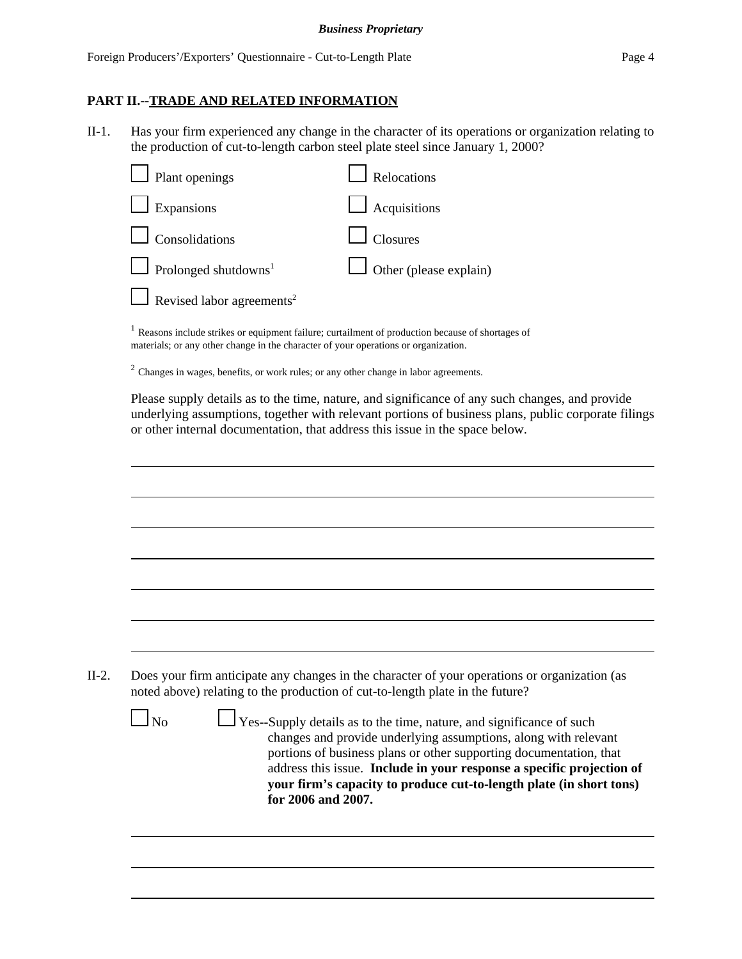### **PART II.--TRADE AND RELATED INFORMATION**

II-1. Has your firm experienced any change in the character of its operations or organization relating to the production of cut-to-length carbon steel plate steel since January 1, 2000?

| $\Box$ Plant openings                   | Relocations                   |
|-----------------------------------------|-------------------------------|
| $\Box$ Expansions                       | $\Box$ Acquisitions           |
| $\Box$ Consolidations                   | $\Box$ Closures               |
| $\Box$ Prolonged shutdowns <sup>1</sup> | $\Box$ Other (please explain) |
| Revised labor agreements <sup>2</sup>   |                               |
|                                         |                               |

<sup>1</sup> Reasons include strikes or equipment failure; curtailment of production because of shortages of materials; or any other change in the character of your operations or organization.

<sup>2</sup> Changes in wages, benefits, or work rules; or any other change in labor agreements.

Please supply details as to the time, nature, and significance of any such changes, and provide underlying assumptions, together with relevant portions of business plans, public corporate filings or other internal documentation, that address this issue in the space below.

| $\overline{\text{No}}$ | Does your firm anticipate any changes in the character of your operations or organization (as<br>noted above) relating to the production of cut-to-length plate in the future?<br>Yes--Supply details as to the time, nature, and significance of such<br>changes and provide underlying assumptions, along with relevant<br>portions of business plans or other supporting documentation, that |
|------------------------|-------------------------------------------------------------------------------------------------------------------------------------------------------------------------------------------------------------------------------------------------------------------------------------------------------------------------------------------------------------------------------------------------|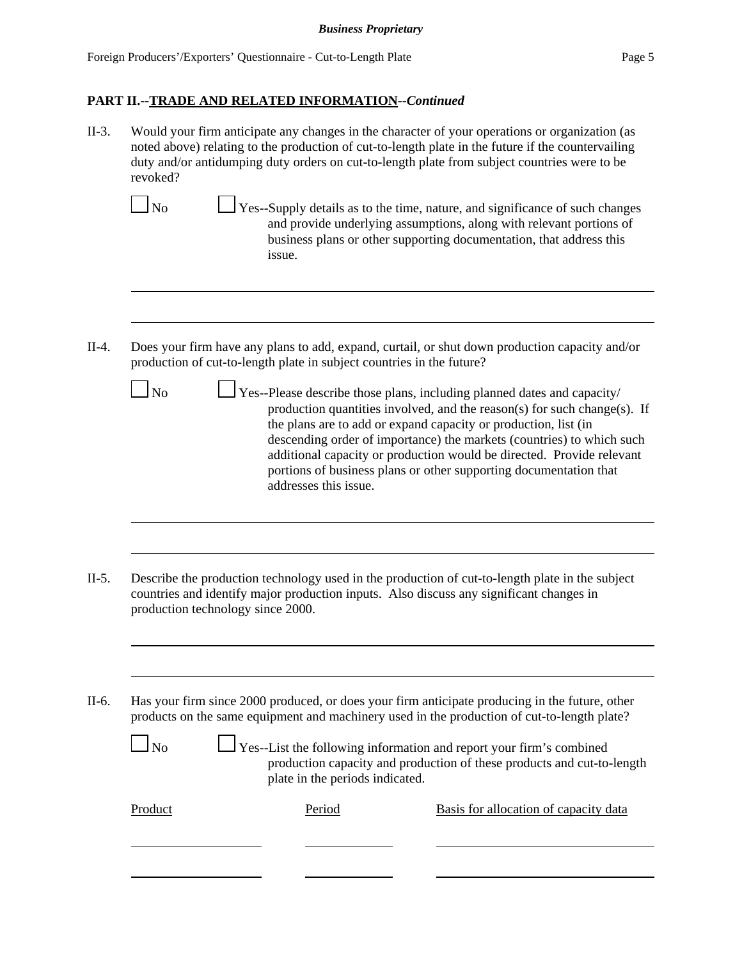II-3. Would your firm anticipate any changes in the character of your operations or organization (as noted above) relating to the production of cut-to-length plate in the future if the countervailing duty and/or antidumping duty orders on cut-to-length plate from subject countries were to be revoked?

- $\Box$  Yes--Supply details as to the time, nature, and significance of such changes and provide underlying assumptions, along with relevant portions of business plans or other supporting documentation, that address this issue.
- II-4. Does your firm have any plans to add, expand, curtail, or shut down production capacity and/or production of cut-to-length plate in subject countries in the future?
	- $\Box$  Yes--Please describe those plans, including planned dates and capacity/ production quantities involved, and the reason(s) for such change(s). If the plans are to add or expand capacity or production, list (in descending order of importance) the markets (countries) to which such additional capacity or production would be directed. Provide relevant portions of business plans or other supporting documentation that addresses this issue.
- II-5. Describe the production technology used in the production of cut-to-length plate in the subject countries and identify major production inputs. Also discuss any significant changes in production technology since 2000.

II-6. Has your firm since 2000 produced, or does your firm anticipate producing in the future, other products on the same equipment and machinery used in the production of cut-to-length plate?

| N <sub>o</sub> | $\Box$ Yes--List the following information and report your firm's combined |
|----------------|----------------------------------------------------------------------------|
|                | production capacity and production of these products and cut-to-length     |
|                | plate in the periods indicated.                                            |

| Product | Period | Basis for allocation of capacity data |
|---------|--------|---------------------------------------|
|         |        |                                       |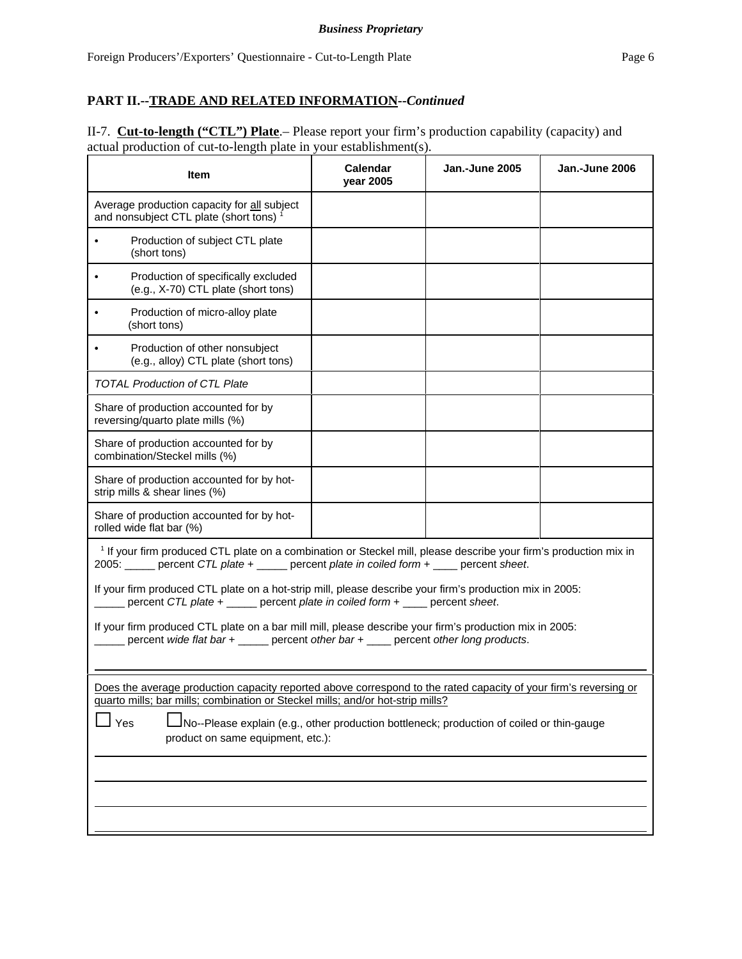II-7. **Cut-to-length ("CTL") Plate**.– Please report your firm's production capability (capacity) and actual production of cut-to-length plate in your establishment(s).

| Item                                                                                                                                                                                                                                                                                                                                         | Calendar<br>year 2005 | Jan.-June 2005 | Jan.-June 2006 |  |  |
|----------------------------------------------------------------------------------------------------------------------------------------------------------------------------------------------------------------------------------------------------------------------------------------------------------------------------------------------|-----------------------|----------------|----------------|--|--|
| Average production capacity for all subject<br>and nonsubject CTL plate (short tons) <sup>1</sup>                                                                                                                                                                                                                                            |                       |                |                |  |  |
| Production of subject CTL plate<br>$\bullet$<br>(short tons)                                                                                                                                                                                                                                                                                 |                       |                |                |  |  |
| Production of specifically excluded<br>$\bullet$<br>(e.g., X-70) CTL plate (short tons)                                                                                                                                                                                                                                                      |                       |                |                |  |  |
| Production of micro-alloy plate<br>(short tons)                                                                                                                                                                                                                                                                                              |                       |                |                |  |  |
| Production of other nonsubject<br>$\bullet$<br>(e.g., alloy) CTL plate (short tons)                                                                                                                                                                                                                                                          |                       |                |                |  |  |
| <b>TOTAL Production of CTL Plate</b>                                                                                                                                                                                                                                                                                                         |                       |                |                |  |  |
| Share of production accounted for by<br>reversing/quarto plate mills (%)                                                                                                                                                                                                                                                                     |                       |                |                |  |  |
| Share of production accounted for by<br>combination/Steckel mills (%)                                                                                                                                                                                                                                                                        |                       |                |                |  |  |
| Share of production accounted for by hot-<br>strip mills & shear lines (%)                                                                                                                                                                                                                                                                   |                       |                |                |  |  |
| Share of production accounted for by hot-<br>rolled wide flat bar (%)                                                                                                                                                                                                                                                                        |                       |                |                |  |  |
| <sup>1</sup> If your firm produced CTL plate on a combination or Steckel mill, please describe your firm's production mix in<br>2005: percent CTL plate + _____ percent plate in coiled form + ___ percent sheet.<br>If your firm produced CTL plate on a hot-strip mill, please describe your firm's production mix in 2005:                |                       |                |                |  |  |
| percent CTL plate + _____ percent plate in coiled form + ____ percent sheet.<br>If your firm produced CTL plate on a bar mill mill, please describe your firm's production mix in 2005:<br>percent wide flat bar + _____ percent other bar + ____ percent other long products.                                                               |                       |                |                |  |  |
| Does the average production capacity reported above correspond to the rated capacity of your firm's reversing or<br>quarto mills; bar mills; combination or Steckel mills; and/or hot-strip mills?<br>Yes<br>INo--Please explain (e.g., other production bottleneck; production of coiled or thin-gauge<br>product on same equipment, etc.): |                       |                |                |  |  |
|                                                                                                                                                                                                                                                                                                                                              |                       |                |                |  |  |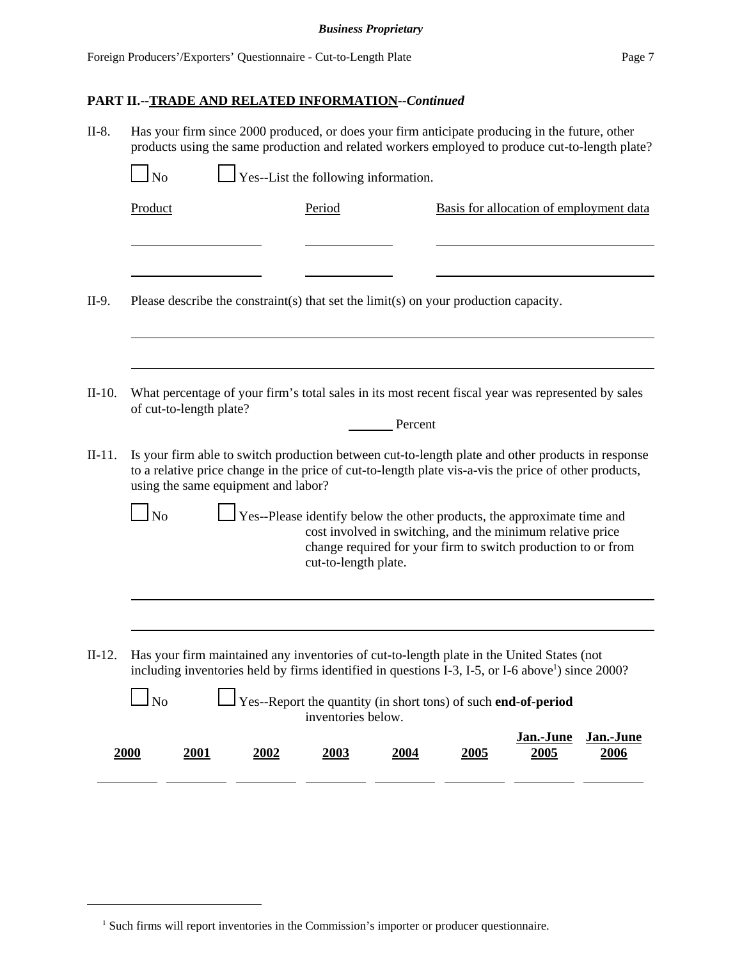| N <sub>o</sub> |      |                         |                                     |                                                                                           |                   |                                                                                                                                                                                                                                                                                                                                                                                                                                                                                                                                                                                                                                                                                                                                                                                                                                                                                                                                                                                                                                                                                                                                                    |
|----------------|------|-------------------------|-------------------------------------|-------------------------------------------------------------------------------------------|-------------------|----------------------------------------------------------------------------------------------------------------------------------------------------------------------------------------------------------------------------------------------------------------------------------------------------------------------------------------------------------------------------------------------------------------------------------------------------------------------------------------------------------------------------------------------------------------------------------------------------------------------------------------------------------------------------------------------------------------------------------------------------------------------------------------------------------------------------------------------------------------------------------------------------------------------------------------------------------------------------------------------------------------------------------------------------------------------------------------------------------------------------------------------------|
| Product        |      | Period                  |                                     |                                                                                           |                   |                                                                                                                                                                                                                                                                                                                                                                                                                                                                                                                                                                                                                                                                                                                                                                                                                                                                                                                                                                                                                                                                                                                                                    |
|                |      |                         |                                     |                                                                                           |                   |                                                                                                                                                                                                                                                                                                                                                                                                                                                                                                                                                                                                                                                                                                                                                                                                                                                                                                                                                                                                                                                                                                                                                    |
|                |      |                         |                                     |                                                                                           |                   |                                                                                                                                                                                                                                                                                                                                                                                                                                                                                                                                                                                                                                                                                                                                                                                                                                                                                                                                                                                                                                                                                                                                                    |
|                |      |                         |                                     |                                                                                           |                   |                                                                                                                                                                                                                                                                                                                                                                                                                                                                                                                                                                                                                                                                                                                                                                                                                                                                                                                                                                                                                                                                                                                                                    |
|                |      |                         |                                     |                                                                                           |                   |                                                                                                                                                                                                                                                                                                                                                                                                                                                                                                                                                                                                                                                                                                                                                                                                                                                                                                                                                                                                                                                                                                                                                    |
|                |      |                         |                                     |                                                                                           |                   |                                                                                                                                                                                                                                                                                                                                                                                                                                                                                                                                                                                                                                                                                                                                                                                                                                                                                                                                                                                                                                                                                                                                                    |
|                |      |                         |                                     |                                                                                           |                   |                                                                                                                                                                                                                                                                                                                                                                                                                                                                                                                                                                                                                                                                                                                                                                                                                                                                                                                                                                                                                                                                                                                                                    |
| <b>No</b>      |      |                         |                                     |                                                                                           |                   |                                                                                                                                                                                                                                                                                                                                                                                                                                                                                                                                                                                                                                                                                                                                                                                                                                                                                                                                                                                                                                                                                                                                                    |
|                |      |                         |                                     |                                                                                           |                   |                                                                                                                                                                                                                                                                                                                                                                                                                                                                                                                                                                                                                                                                                                                                                                                                                                                                                                                                                                                                                                                                                                                                                    |
|                |      |                         |                                     |                                                                                           |                   |                                                                                                                                                                                                                                                                                                                                                                                                                                                                                                                                                                                                                                                                                                                                                                                                                                                                                                                                                                                                                                                                                                                                                    |
| $\Box$ No      |      |                         |                                     |                                                                                           |                   |                                                                                                                                                                                                                                                                                                                                                                                                                                                                                                                                                                                                                                                                                                                                                                                                                                                                                                                                                                                                                                                                                                                                                    |
| 2000<br>2001   | 2002 | 2003                    | 2004                                | 2005                                                                                      | Jan.-June<br>2005 | Jan.-June<br>2006                                                                                                                                                                                                                                                                                                                                                                                                                                                                                                                                                                                                                                                                                                                                                                                                                                                                                                                                                                                                                                                                                                                                  |
|                |      | of cut-to-length plate? | using the same equipment and labor? | $\Box$ Yes--List the following information.<br>cut-to-length plate.<br>inventories below. | Percent           | Has your firm since 2000 produced, or does your firm anticipate producing in the future, other<br>products using the same production and related workers employed to produce cut-to-length plate?<br>Basis for allocation of employment data<br>Please describe the constraint(s) that set the limit(s) on your production capacity.<br>What percentage of your firm's total sales in its most recent fiscal year was represented by sales<br>Is your firm able to switch production between cut-to-length plate and other products in response<br>to a relative price change in the price of cut-to-length plate vis-a-vis the price of other products,<br>Yes--Please identify below the other products, the approximate time and<br>cost involved in switching, and the minimum relative price<br>change required for your firm to switch production to or from<br>Has your firm maintained any inventories of cut-to-length plate in the United States (not<br>including inventories held by firms identified in questions I-3, I-5, or I-6 above <sup>1</sup> ) since 2000?<br>Yes--Report the quantity (in short tons) of such end-of-period |

<sup>&</sup>lt;sup>1</sup> Such firms will report inventories in the Commission's importer or producer questionnaire.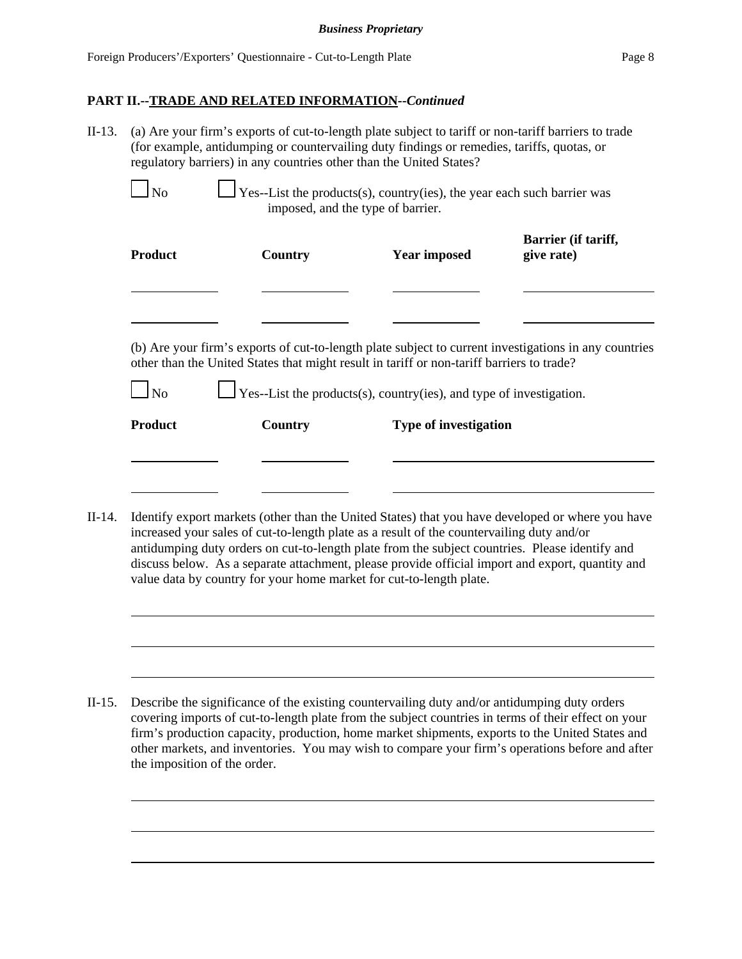II-13. (a) Are your firm's exports of cut-to-length plate subject to tariff or non-tariff barriers to trade (for example, antidumping or countervailing duty findings or remedies, tariffs, quotas, or regulatory barriers) in any countries other than the United States?

| <b>Product</b> | Country | <b>Year imposed</b>                                                                                                                                                                                | Barrier (if tariff,<br>give rate) |
|----------------|---------|----------------------------------------------------------------------------------------------------------------------------------------------------------------------------------------------------|-----------------------------------|
|                |         |                                                                                                                                                                                                    |                                   |
|                |         | (b) Are your firm's exports of cut-to-length plate subject to current investigations in any countries<br>other than the United States that might result in tariff or non-tariff barriers to trade? |                                   |
| No             |         | $\Box$ Yes--List the products(s), country(ies), and type of investigation.                                                                                                                         |                                   |
|                |         |                                                                                                                                                                                                    |                                   |

II-14. Identify export markets (other than the United States) that you have developed or where you have increased your sales of cut-to-length plate as a result of the countervailing duty and/or antidumping duty orders on cut-to-length plate from the subject countries. Please identify and discuss below. As a separate attachment, please provide official import and export, quantity and value data by country for your home market for cut-to-length plate.

II-15. Describe the significance of the existing countervailing duty and/or antidumping duty orders covering imports of cut-to-length plate from the subject countries in terms of their effect on your firm's production capacity, production, home market shipments, exports to the United States and other markets, and inventories. You may wish to compare your firm's operations before and after the imposition of the order.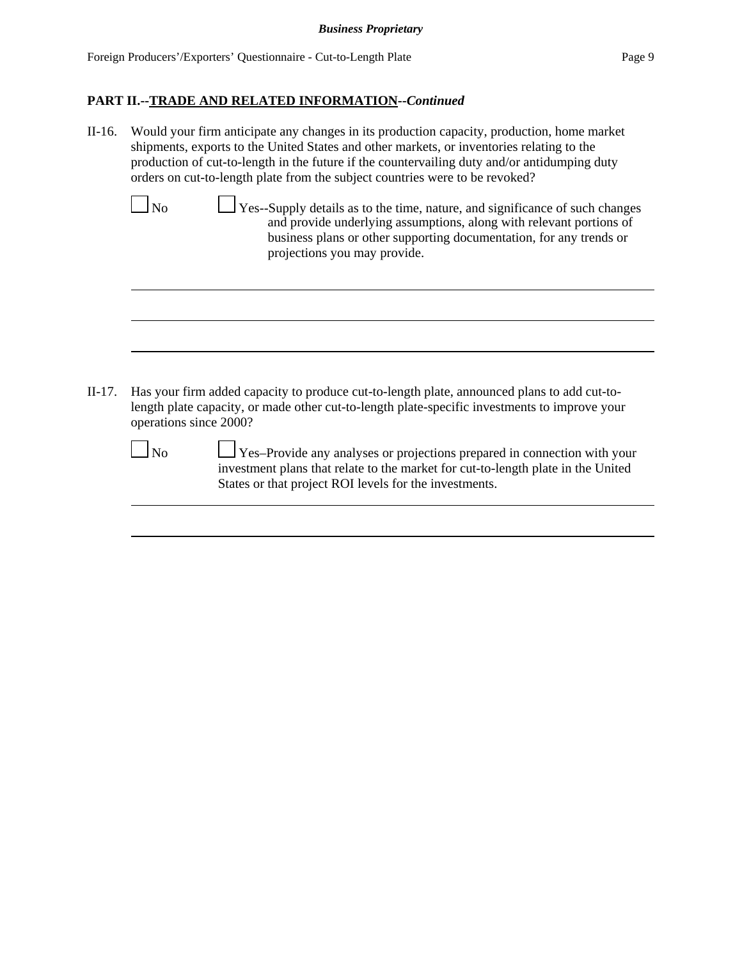II-16. Would your firm anticipate any changes in its production capacity, production, home market shipments, exports to the United States and other markets, or inventories relating to the production of cut-to-length in the future if the countervailing duty and/or antidumping duty orders on cut-to-length plate from the subject countries were to be revoked?

 $\Box$  No  $\Box$  Yes--Supply details as to the time, nature, and significance of such changes and provide underlying assumptions, along with relevant portions of business plans or other supporting documentation, for any trends or projections you may provide.

II-17. Has your firm added capacity to produce cut-to-length plate, announced plans to add cut-tolength plate capacity, or made other cut-to-length plate-specific investments to improve your operations since 2000?

 No Yes–Provide any analyses or projections prepared in connection with your investment plans that relate to the market for cut-to-length plate in the United States or that project ROI levels for the investments.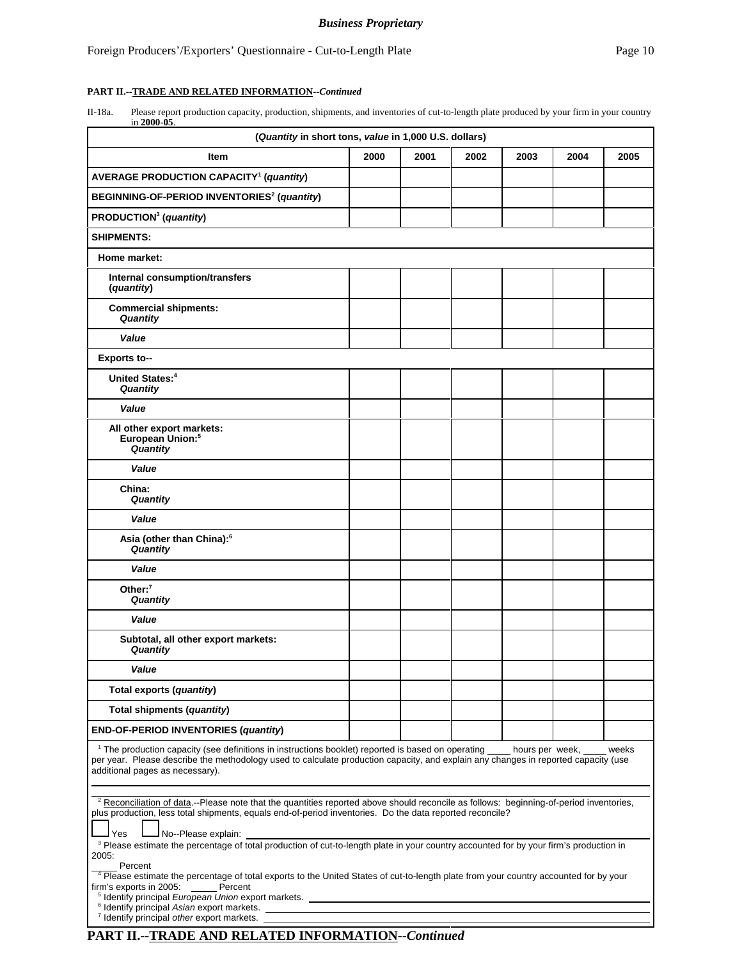### Foreign Producers'/Exporters' Questionnaire - Cut-to-Length Plate Page 10

### **PART II.--TRADE AND RELATED INFORMATION--***Continued*

II-18a. Please report production capacity, production, shipments, and inventories of cut-to-length plate produced by your firm in your country in **2000-05**.

| (Quantity in short tons, value in 1,000 U.S. dollars)                                                                                                                                                                                                                                                                                                           |      |      |      |      |      |      |
|-----------------------------------------------------------------------------------------------------------------------------------------------------------------------------------------------------------------------------------------------------------------------------------------------------------------------------------------------------------------|------|------|------|------|------|------|
| Item                                                                                                                                                                                                                                                                                                                                                            | 2000 | 2001 | 2002 | 2003 | 2004 | 2005 |
| <b>AVERAGE PRODUCTION CAPACITY<sup>1</sup> (quantity)</b>                                                                                                                                                                                                                                                                                                       |      |      |      |      |      |      |
| BEGINNING-OF-PERIOD INVENTORIES <sup>2</sup> (quantity)                                                                                                                                                                                                                                                                                                         |      |      |      |      |      |      |
| PRODUCTION <sup>3</sup> (quantity)                                                                                                                                                                                                                                                                                                                              |      |      |      |      |      |      |
| <b>SHIPMENTS:</b>                                                                                                                                                                                                                                                                                                                                               |      |      |      |      |      |      |
| Home market:                                                                                                                                                                                                                                                                                                                                                    |      |      |      |      |      |      |
| Internal consumption/transfers<br>(quantity)                                                                                                                                                                                                                                                                                                                    |      |      |      |      |      |      |
| <b>Commercial shipments:</b><br>Quantity                                                                                                                                                                                                                                                                                                                        |      |      |      |      |      |      |
| Value                                                                                                                                                                                                                                                                                                                                                           |      |      |      |      |      |      |
| <b>Exports to--</b>                                                                                                                                                                                                                                                                                                                                             |      |      |      |      |      |      |
| United States: <sup>4</sup><br>Quantity                                                                                                                                                                                                                                                                                                                         |      |      |      |      |      |      |
| Value                                                                                                                                                                                                                                                                                                                                                           |      |      |      |      |      |      |
| All other export markets:<br>European Union: <sup>5</sup><br>Quantity                                                                                                                                                                                                                                                                                           |      |      |      |      |      |      |
| Value                                                                                                                                                                                                                                                                                                                                                           |      |      |      |      |      |      |
| China:<br>Quantity                                                                                                                                                                                                                                                                                                                                              |      |      |      |      |      |      |
| Value                                                                                                                                                                                                                                                                                                                                                           |      |      |      |      |      |      |
| Asia (other than China): <sup>6</sup><br>Quantity                                                                                                                                                                                                                                                                                                               |      |      |      |      |      |      |
| Value                                                                                                                                                                                                                                                                                                                                                           |      |      |      |      |      |      |
| Other: $7$<br>Quantity                                                                                                                                                                                                                                                                                                                                          |      |      |      |      |      |      |
| Value                                                                                                                                                                                                                                                                                                                                                           |      |      |      |      |      |      |
| Subtotal, all other export markets:<br>Quantity                                                                                                                                                                                                                                                                                                                 |      |      |      |      |      |      |
| Value                                                                                                                                                                                                                                                                                                                                                           |      |      |      |      |      |      |
| Total exports (quantity)                                                                                                                                                                                                                                                                                                                                        |      |      |      |      |      |      |
| Total shipments (quantity)                                                                                                                                                                                                                                                                                                                                      |      |      |      |      |      |      |
| <b>END-OF-PERIOD INVENTORIES (quantity)</b>                                                                                                                                                                                                                                                                                                                     |      |      |      |      |      |      |
| <sup>1</sup> The production capacity (see definitions in instructions booklet) reported is based on operating hours per week, weeks<br>per year. Please describe the methodology used to calculate production capacity, and explain any changes in reported capacity (use<br>additional pages as necessary).                                                    |      |      |      |      |      |      |
| <sup>2</sup> Reconciliation of data.--Please note that the quantities reported above should reconcile as follows: beginning-of-period inventories,<br>plus production, less total shipments, equals end-of-period inventories. Do the data reported reconcile?<br><b>J</b> Yes<br>No--Please explain:                                                           |      |      |      |      |      |      |
| <sup>3</sup> Please estimate the percentage of total production of cut-to-length plate in your country accounted for by your firm's production in<br>2005:<br>Percent<br><sup>4</sup> Please estimate the percentage of total exports to the United States of cut-to-length plate from your country accounted for by your<br>firm's exports in 2005:<br>Percent |      |      |      |      |      |      |
| <sup>6</sup> Identify principal Asian export markets.<br><sup>7</sup> Identify principal other export markets. _                                                                                                                                                                                                                                                |      |      |      |      |      |      |

# **PART II.--TRADE AND RELATED INFORMATION--***Continued*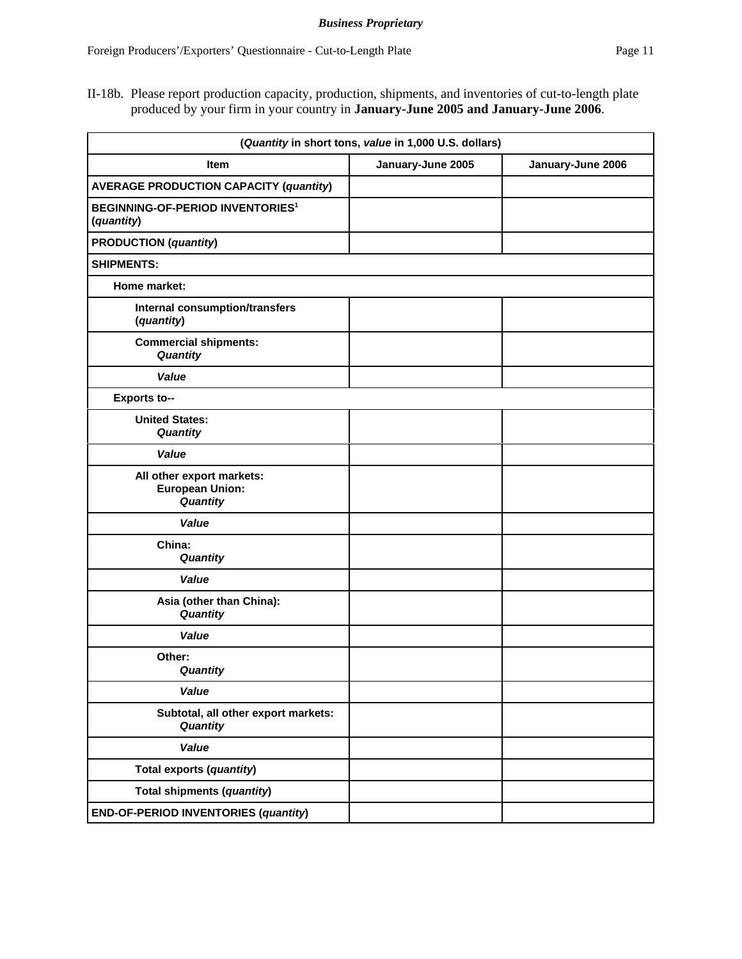| (Quantity in short tons, value in 1,000 U.S. dollars)            |                   |                   |
|------------------------------------------------------------------|-------------------|-------------------|
| <b>Item</b>                                                      | January-June 2005 | January-June 2006 |
| <b>AVERAGE PRODUCTION CAPACITY (quantity)</b>                    |                   |                   |
| <b>BEGINNING-OF-PERIOD INVENTORIES<sup>1</sup></b><br>(quantity) |                   |                   |
| <b>PRODUCTION</b> (quantity)                                     |                   |                   |
| <b>SHIPMENTS:</b>                                                |                   |                   |
| Home market:                                                     |                   |                   |
| Internal consumption/transfers<br>(quantity)                     |                   |                   |
| <b>Commercial shipments:</b><br>Quantity                         |                   |                   |
| Value                                                            |                   |                   |
| <b>Exports to--</b>                                              |                   |                   |
| <b>United States:</b><br>Quantity                                |                   |                   |
| Value                                                            |                   |                   |
| All other export markets:<br><b>European Union:</b><br>Quantity  |                   |                   |
| Value                                                            |                   |                   |
| China:<br>Quantity                                               |                   |                   |
| Value                                                            |                   |                   |
| Asia (other than China):<br>Quantity                             |                   |                   |
| Value                                                            |                   |                   |
| Other:<br><b>Quantity</b>                                        |                   |                   |
| <b>Value</b>                                                     |                   |                   |
| Subtotal, all other export markets:<br>Quantity                  |                   |                   |
| Value                                                            |                   |                   |
| Total exports (quantity)                                         |                   |                   |
| Total shipments (quantity)                                       |                   |                   |
| <b>END-OF-PERIOD INVENTORIES (quantity)</b>                      |                   |                   |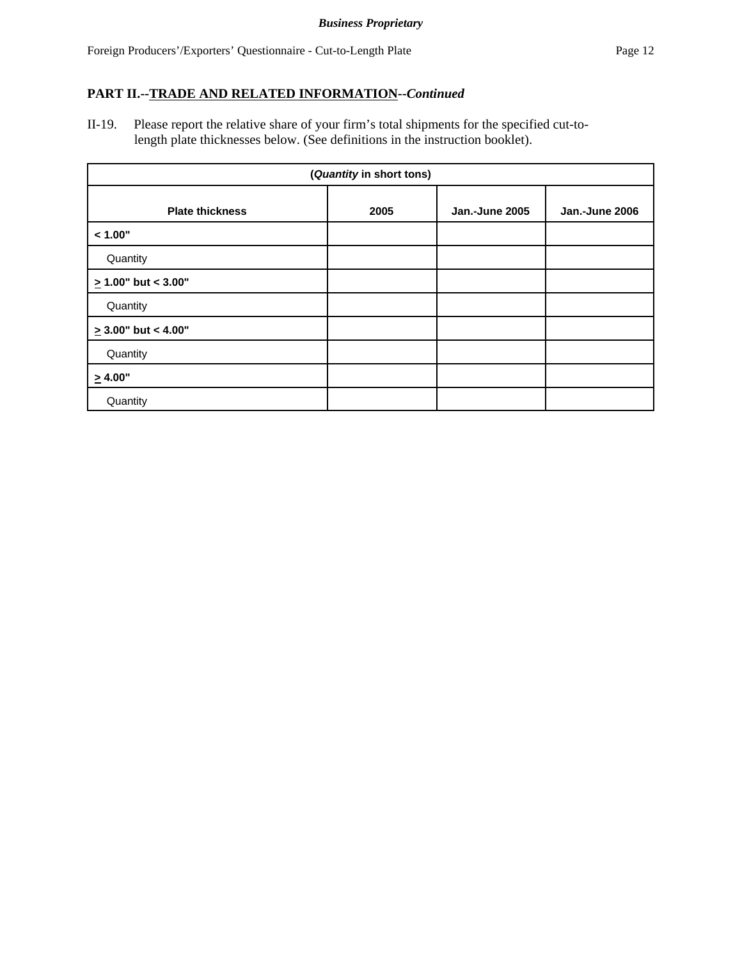II-19. Please report the relative share of your firm's total shipments for the specified cut-to length plate thicknesses below. (See definitions in the instruction booklet).

| (Quantity in short tons) |      |                |                |
|--------------------------|------|----------------|----------------|
| <b>Plate thickness</b>   | 2005 | Jan.-June 2005 | Jan.-June 2006 |
| < 1.00"                  |      |                |                |
| Quantity                 |      |                |                |
| $\geq$ 1.00" but < 3.00" |      |                |                |
| Quantity                 |      |                |                |
| $\geq$ 3.00" but < 4.00" |      |                |                |
| Quantity                 |      |                |                |
| $\geq 4.00"$             |      |                |                |
| Quantity                 |      |                |                |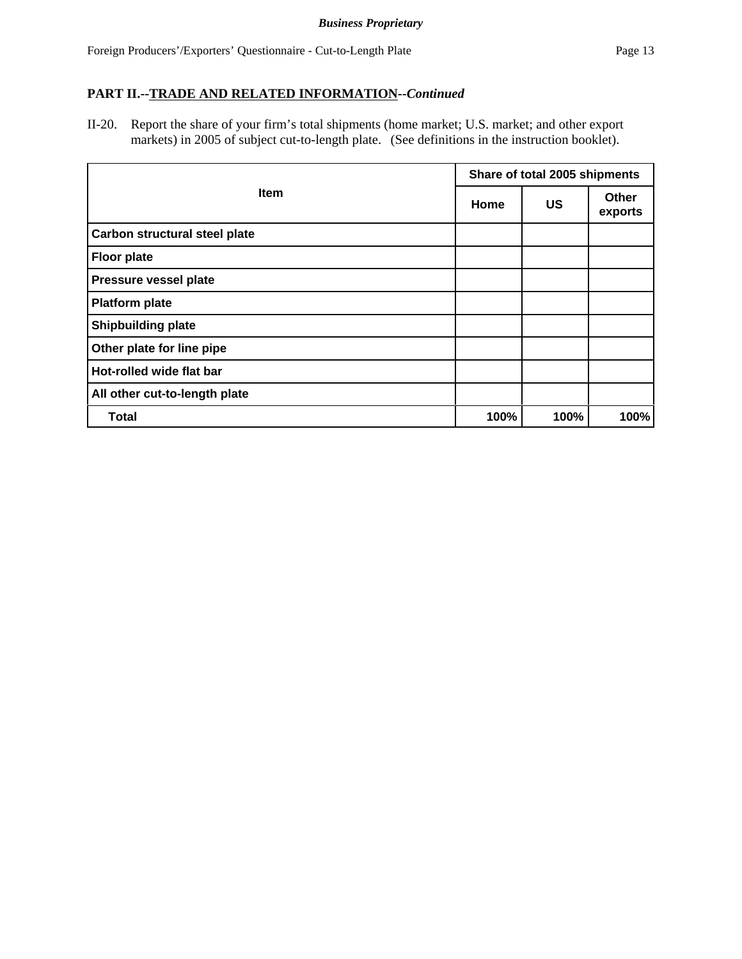II-20. Report the share of your firm's total shipments (home market; U.S. market; and other export markets) in 2005 of subject cut-to-length plate. (See definitions in the instruction booklet).

|                                      |      | Share of total 2005 shipments |                  |  |  |
|--------------------------------------|------|-------------------------------|------------------|--|--|
| <b>Item</b>                          | Home | US                            | Other<br>exports |  |  |
| <b>Carbon structural steel plate</b> |      |                               |                  |  |  |
| <b>Floor plate</b>                   |      |                               |                  |  |  |
| Pressure vessel plate                |      |                               |                  |  |  |
| <b>Platform plate</b>                |      |                               |                  |  |  |
| <b>Shipbuilding plate</b>            |      |                               |                  |  |  |
| Other plate for line pipe            |      |                               |                  |  |  |
| Hot-rolled wide flat bar             |      |                               |                  |  |  |
| All other cut-to-length plate        |      |                               |                  |  |  |
| <b>Total</b>                         | 100% | 100%                          | 100%             |  |  |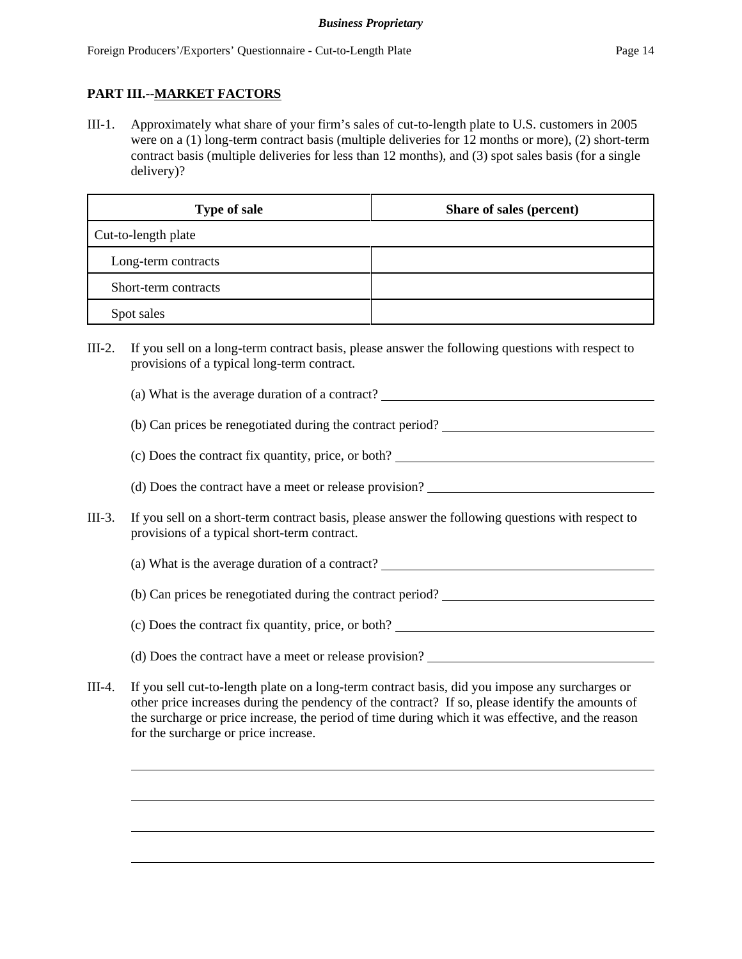# **PART III.--MARKET FACTORS**

III-1. Approximately what share of your firm's sales of cut-to-length plate to U.S. customers in 2005 were on a (1) long-term contract basis (multiple deliveries for 12 months or more), (2) short-term contract basis (multiple deliveries for less than 12 months), and (3) spot sales basis (for a single delivery)?

| <b>Type of sale</b>  | Share of sales (percent) |
|----------------------|--------------------------|
| Cut-to-length plate  |                          |
| Long-term contracts  |                          |
| Short-term contracts |                          |
| Spot sales           |                          |

- III-2. If you sell on a long-term contract basis, please answer the following questions with respect to provisions of a typical long-term contract.
	- (a) What is the average duration of a contract?
	- (b) Can prices be renegotiated during the contract period?
	- (c) Does the contract fix quantity, price, or both?
	- (d) Does the contract have a meet or release provision?
- III-3. If you sell on a short-term contract basis, please answer the following questions with respect to provisions of a typical short-term contract.
	- (a) What is the average duration of a contract?
	- (b) Can prices be renegotiated during the contract period?
	- (c) Does the contract fix quantity, price, or both?
	- (d) Does the contract have a meet or release provision?
- III-4. If you sell cut-to-length plate on a long-term contract basis, did you impose any surcharges or other price increases during the pendency of the contract? If so, please identify the amounts of the surcharge or price increase, the period of time during which it was effective, and the reason for the surcharge or price increase.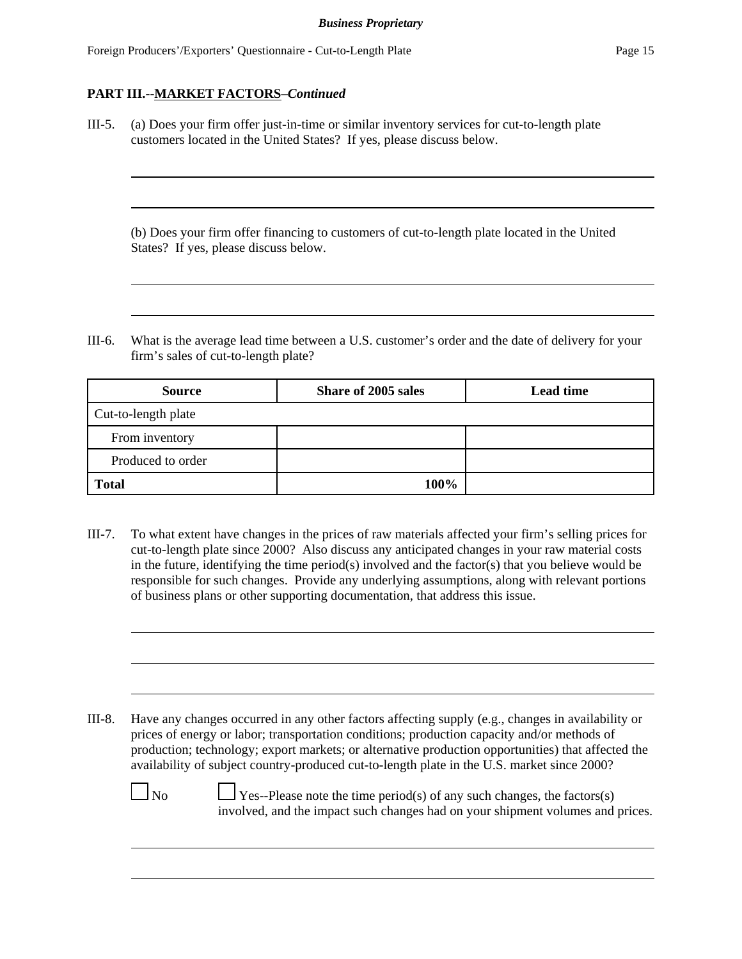III-5. (a) Does your firm offer just-in-time or similar inventory services for cut-to-length plate customers located in the United States? If yes, please discuss below.

(b) Does your firm offer financing to customers of cut-to-length plate located in the United States? If yes, please discuss below.

III-6. What is the average lead time between a U.S. customer's order and the date of delivery for your firm's sales of cut-to-length plate?

| <b>Source</b>       | Share of 2005 sales | <b>Lead time</b> |
|---------------------|---------------------|------------------|
| Cut-to-length plate |                     |                  |
| From inventory      |                     |                  |
| Produced to order   |                     |                  |
| <b>Total</b>        | 100%                |                  |

III-7. To what extent have changes in the prices of raw materials affected your firm's selling prices for cut-to-length plate since 2000? Also discuss any anticipated changes in your raw material costs in the future, identifying the time period(s) involved and the factor(s) that you believe would be responsible for such changes. Provide any underlying assumptions, along with relevant portions of business plans or other supporting documentation, that address this issue.

III-8. Have any changes occurred in any other factors affecting supply (e.g., changes in availability or prices of energy or labor; transportation conditions; production capacity and/or methods of production; technology; export markets; or alternative production opportunities) that affected the availability of subject country-produced cut-to-length plate in the U.S. market since 2000?

 $\Box$  No  $\Box$  Yes--Please note the time period(s) of any such changes, the factors(s) involved, and the impact such changes had on your shipment volumes and prices.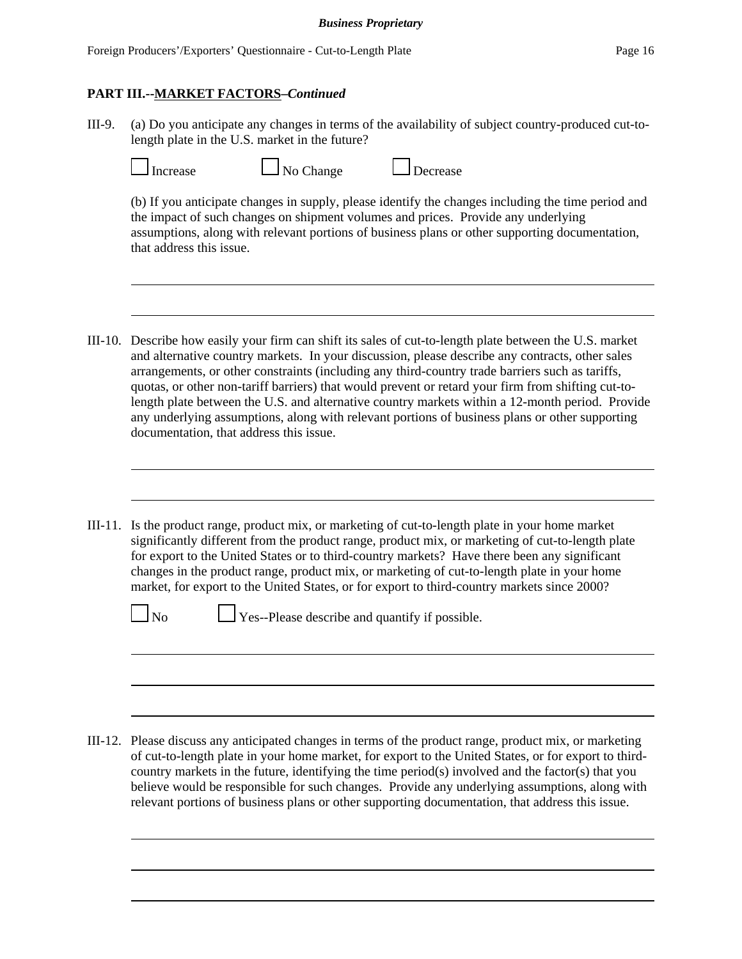III-9. (a) Do you anticipate any changes in terms of the availability of subject country-produced cut-tolength plate in the U.S. market in the future?

| I ncr<br>Нa |
|-------------|
|             |

| $\Box$ No Change<br>$\Box$ Decrease<br>ise |  |
|--------------------------------------------|--|
|--------------------------------------------|--|

(b) If you anticipate changes in supply, please identify the changes including the time period and the impact of such changes on shipment volumes and prices. Provide any underlying assumptions, along with relevant portions of business plans or other supporting documentation, that address this issue.

- III-10. Describe how easily your firm can shift its sales of cut-to-length plate between the U.S. market and alternative country markets. In your discussion, please describe any contracts, other sales arrangements, or other constraints (including any third-country trade barriers such as tariffs, quotas, or other non-tariff barriers) that would prevent or retard your firm from shifting cut-tolength plate between the U.S. and alternative country markets within a 12-month period. Provide any underlying assumptions, along with relevant portions of business plans or other supporting documentation, that address this issue.
- III-11. Is the product range, product mix, or marketing of cut-to-length plate in your home market significantly different from the product range, product mix, or marketing of cut-to-length plate for export to the United States or to third-country markets? Have there been any significant changes in the product range, product mix, or marketing of cut-to-length plate in your home market, for export to the United States, or for export to third-country markets since 2000?

 $\Box$  No  $\Box$  Yes--Please describe and quantify if possible.

III-12. Please discuss any anticipated changes in terms of the product range, product mix, or marketing of cut-to-length plate in your home market, for export to the United States, or for export to thirdcountry markets in the future, identifying the time period(s) involved and the factor(s) that you believe would be responsible for such changes. Provide any underlying assumptions, along with relevant portions of business plans or other supporting documentation, that address this issue.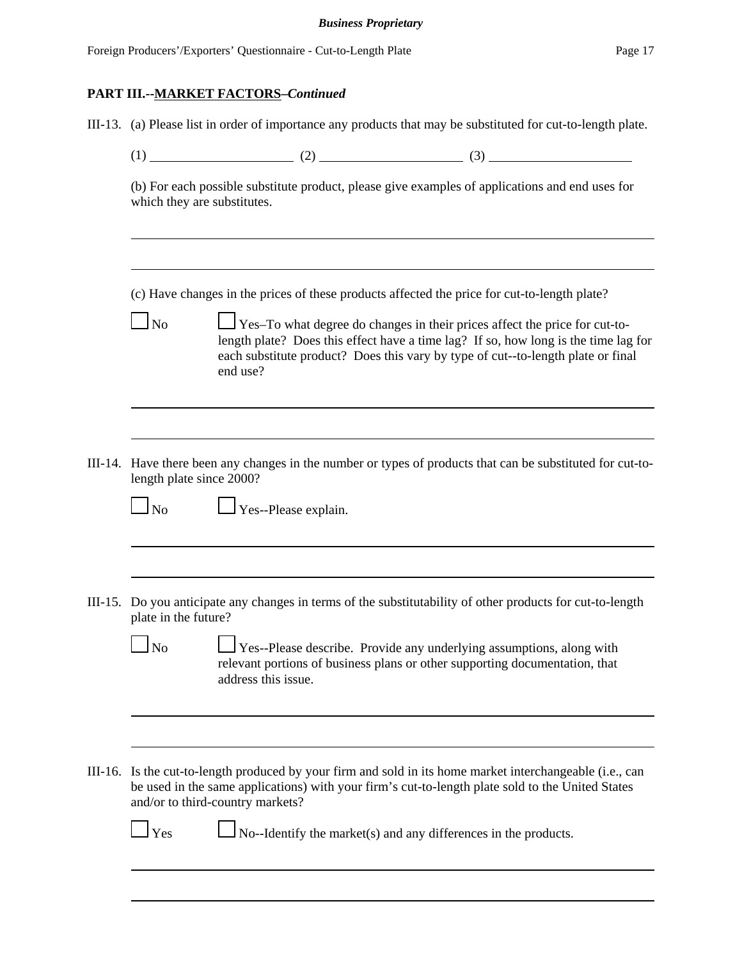Foreign Producers'/Exporters' Ouestionnaire - Cut-to-Length Plate Page 17

### **PART III.--MARKET FACTORS–***Continued*

III-13. (a) Please list in order of importance any products that may be substituted for cut-to-length plate.

(1)  $(2)$   $(3)$ 

(b) For each possible substitute product, please give examples of applications and end uses for which they are substitutes.

(c) Have changes in the prices of these products affected the price for cut-to-length plate?

 $\Box$  No  $\Box$  Yes–To what degree do changes in their prices affect the price for cut-tolength plate? Does this effect have a time lag? If so, how long is the time lag for each substitute product? Does this vary by type of cut--to-length plate or final end use?

III-14. Have there been any changes in the number or types of products that can be substituted for cut-tolength plate since 2000?

 $\Box$  No  $\Box$  Yes--Please explain.

III-15. Do you anticipate any changes in terms of the substitutability of other products for cut-to-length plate in the future?

 $\Box$  No  $\Box$  Yes--Please describe. Provide any underlying assumptions, along with relevant portions of business plans or other supporting documentation, that address this issue.

III-16. Is the cut-to-length produced by your firm and sold in its home market interchangeable (i.e., can be used in the same applications) with your firm's cut-to-length plate sold to the United States and/or to third-country markets?

 $\Box$  Yes  $\Box$  No--Identify the market(s) and any differences in the products.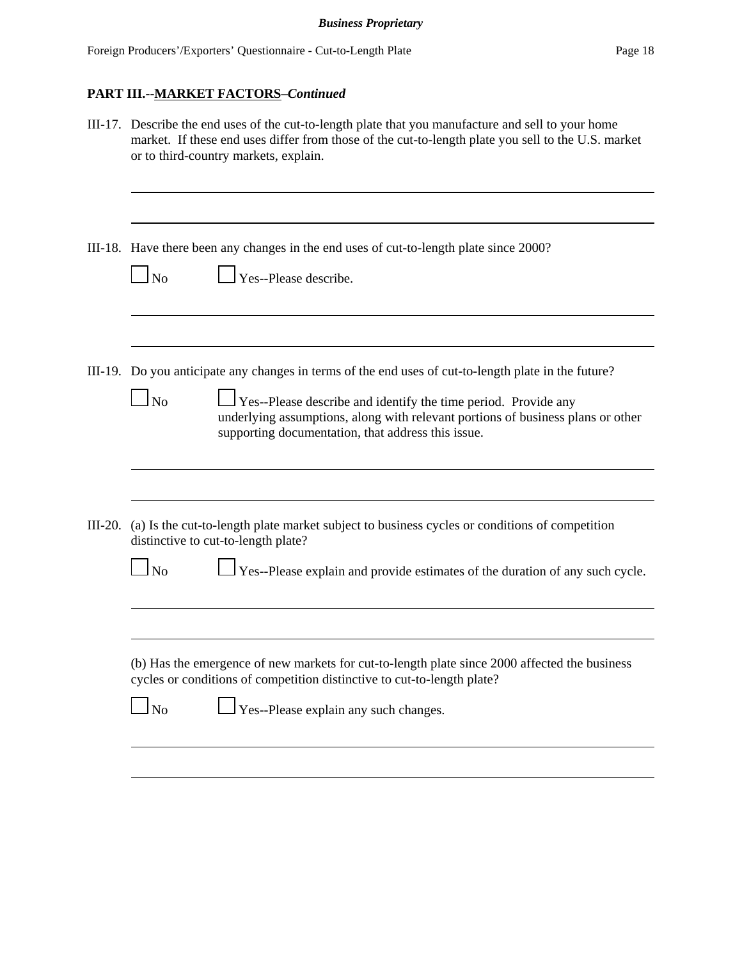|           | III-17. Describe the end uses of the cut-to-length plate that you manufacture and sell to your home<br>market. If these end uses differ from those of the cut-to-length plate you sell to the U.S. market<br>or to third-country markets, explain.                                                                                             |  |  |  |
|-----------|------------------------------------------------------------------------------------------------------------------------------------------------------------------------------------------------------------------------------------------------------------------------------------------------------------------------------------------------|--|--|--|
|           | III-18. Have there been any changes in the end uses of cut-to-length plate since 2000?<br>$\perp$ Yes--Please describe.<br>$\mathbf{\underline{I}}$ No                                                                                                                                                                                         |  |  |  |
|           | III-19. Do you anticipate any changes in terms of the end uses of cut-to-length plate in the future?<br>$\perp$ Yes--Please describe and identify the time period. Provide any<br>$\overline{\rm No}$<br>underlying assumptions, along with relevant portions of business plans or other<br>supporting documentation, that address this issue. |  |  |  |
| $III-20.$ | (a) Is the cut-to-length plate market subject to business cycles or conditions of competition<br>distinctive to cut-to-length plate?<br>Yes--Please explain and provide estimates of the duration of any such cycle.<br>$\ln 0$                                                                                                                |  |  |  |
|           | (b) Has the emergence of new markets for cut-to-length plate since 2000 affected the business<br>cycles or conditions of competition distinctive to cut-to-length plate?<br>$\mathbf{\underline{I}}$ No<br>Yes--Please explain any such changes.                                                                                               |  |  |  |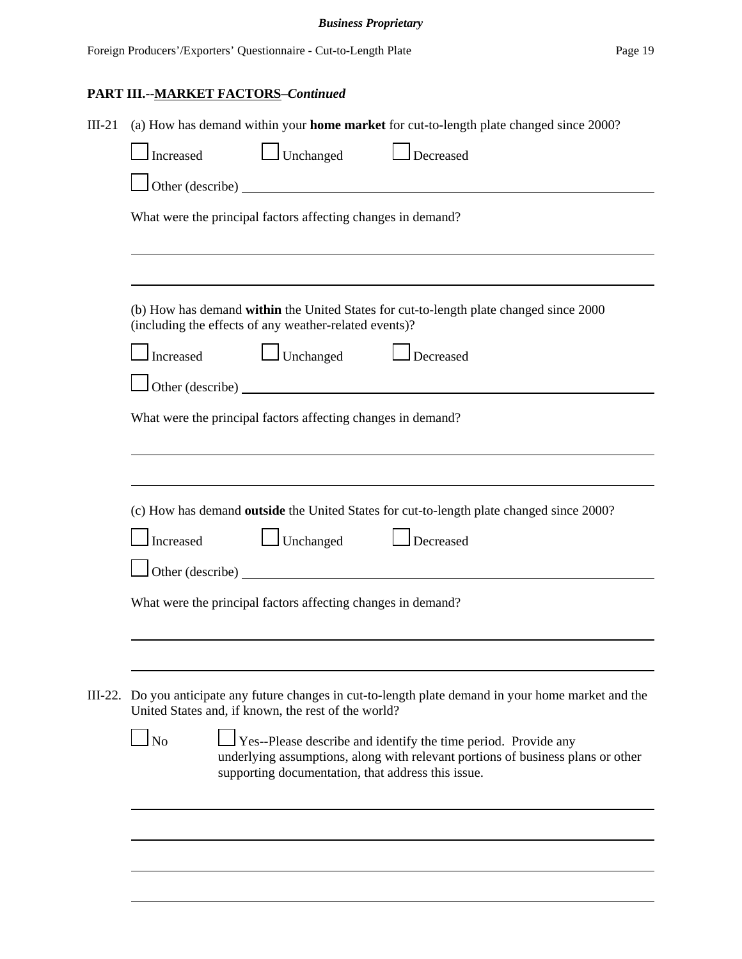| $III-21$ | (a) How has demand within your home market for cut-to-length plate changed since 2000?                                                                                                                                    |
|----------|---------------------------------------------------------------------------------------------------------------------------------------------------------------------------------------------------------------------------|
|          | Unchanged<br>Decreased<br>Increased                                                                                                                                                                                       |
|          |                                                                                                                                                                                                                           |
|          | What were the principal factors affecting changes in demand?                                                                                                                                                              |
|          |                                                                                                                                                                                                                           |
|          | (b) How has demand within the United States for cut-to-length plate changed since 2000<br>(including the effects of any weather-related events)?                                                                          |
|          | $\Box$ Unchanged<br>Increased<br>$\Box$ Decreased                                                                                                                                                                         |
|          |                                                                                                                                                                                                                           |
|          | What were the principal factors affecting changes in demand?                                                                                                                                                              |
|          |                                                                                                                                                                                                                           |
|          |                                                                                                                                                                                                                           |
|          | (c) How has demand outside the United States for cut-to-length plate changed since 2000?                                                                                                                                  |
|          | $\Box$ Unchanged<br>Increased<br>Decreased                                                                                                                                                                                |
|          | $\Box$ Other (describe) $\Box$                                                                                                                                                                                            |
|          | What were the principal factors affecting changes in demand?                                                                                                                                                              |
|          |                                                                                                                                                                                                                           |
|          |                                                                                                                                                                                                                           |
|          | III-22. Do you anticipate any future changes in cut-to-length plate demand in your home market and the<br>United States and, if known, the rest of the world?                                                             |
|          | Yes--Please describe and identify the time period. Provide any<br>N <sub>o</sub><br>underlying assumptions, along with relevant portions of business plans or other<br>supporting documentation, that address this issue. |
|          |                                                                                                                                                                                                                           |
|          |                                                                                                                                                                                                                           |
|          |                                                                                                                                                                                                                           |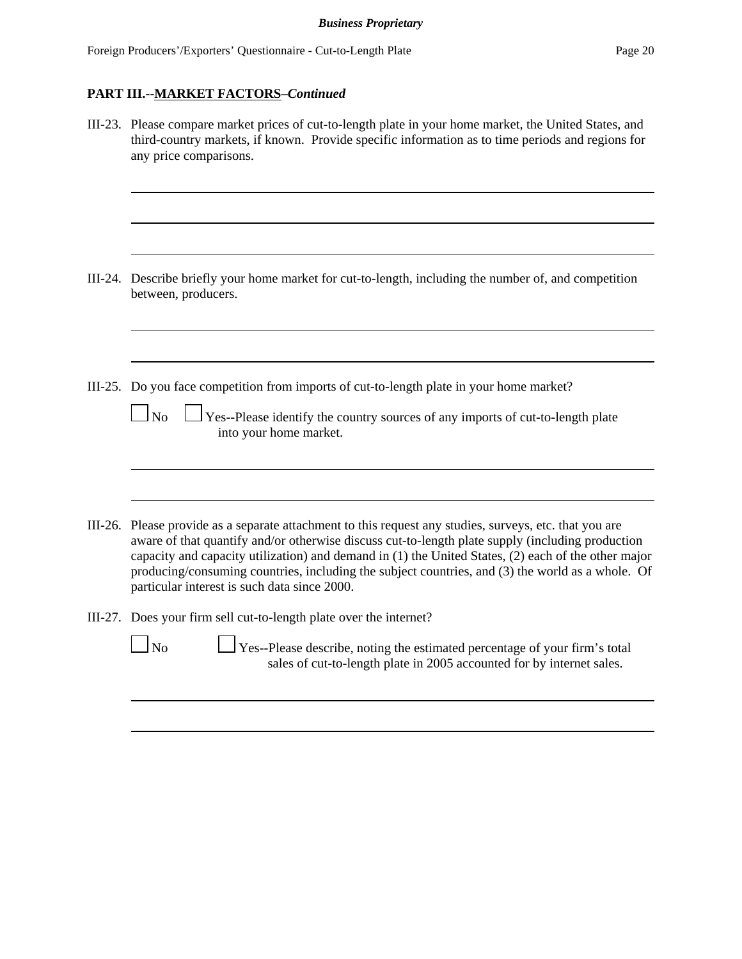| III-23. Please compare market prices of cut-to-length plate in your home market, the United States, and<br>third-country markets, if known. Provide specific information as to time periods and regions for<br>any price comparisons.                                                                                                                                                                                                                                  |
|------------------------------------------------------------------------------------------------------------------------------------------------------------------------------------------------------------------------------------------------------------------------------------------------------------------------------------------------------------------------------------------------------------------------------------------------------------------------|
| III-24. Describe briefly your home market for cut-to-length, including the number of, and competition<br>between, producers.                                                                                                                                                                                                                                                                                                                                           |
| III-25. Do you face competition from imports of cut-to-length plate in your home market?<br>$\Box$ No<br>Yes--Please identify the country sources of any imports of cut-to-length plate<br>into your home market.                                                                                                                                                                                                                                                      |
| III-26. Please provide as a separate attachment to this request any studies, surveys, etc. that you are<br>aware of that quantify and/or otherwise discuss cut-to-length plate supply (including production<br>capacity and capacity utilization) and demand in (1) the United States, (2) each of the other major<br>producing/consuming countries, including the subject countries, and (3) the world as a whole. Of<br>particular interest is such data since 2000. |
| III-27. Does your firm sell cut-to-length plate over the internet?<br>$\Box$ No<br>Yes--Please describe, noting the estimated percentage of your firm's total<br>sales of cut-to-length plate in 2005 accounted for by internet sales.                                                                                                                                                                                                                                 |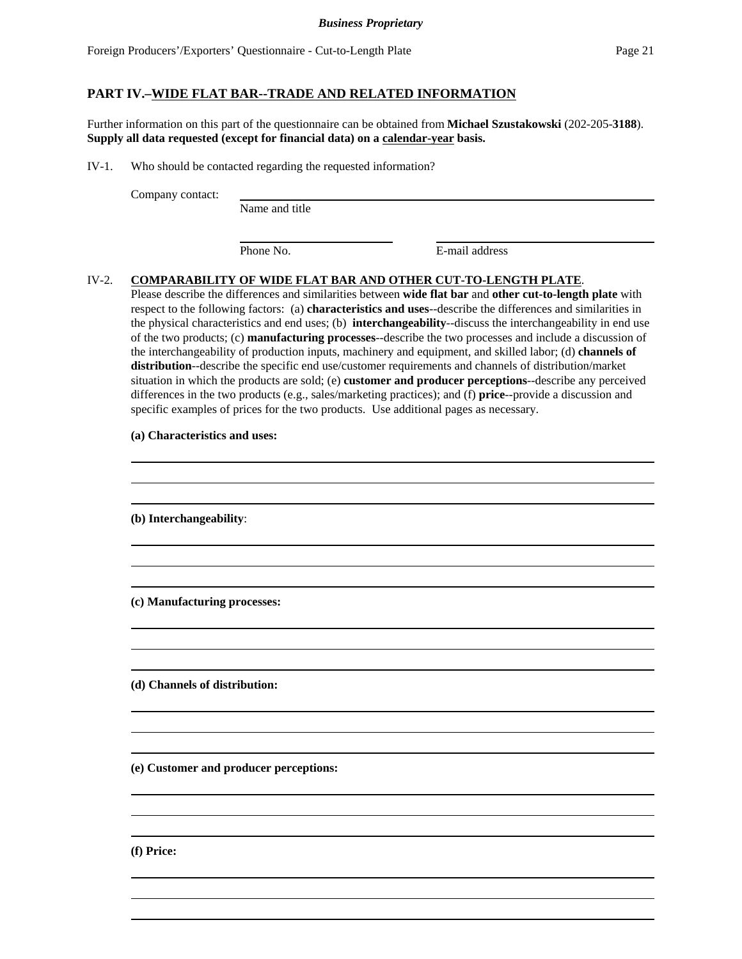## **PART IV.–WIDE FLAT BAR--TRADE AND RELATED INFORMATION**

Further information on this part of the questionnaire can be obtained from **Michael Szustakowski** (202-205-**3188**). **Supply all data requested (except for financial data) on a calendar-year basis.**

IV-1. Who should be contacted regarding the requested information?

Company contact:

Name and title

Phone No. **E**-mail address

### IV-2. **COMPARABILITY OF WIDE FLAT BAR AND OTHER CUT-TO-LENGTH PLATE**.

Please describe the differences and similarities between **wide flat bar** and **other cut-to-length plate** with respect to the following factors: (a) **characteristics and uses**--describe the differences and similarities in the physical characteristics and end uses; (b) **interchangeability**--discuss the interchangeability in end use of the two products; (c) **manufacturing processes**--describe the two processes and include a discussion of the interchangeability of production inputs, machinery and equipment, and skilled labor; (d) **channels of distribution**--describe the specific end use/customer requirements and channels of distribution/market situation in which the products are sold; (e) **customer and producer perceptions**--describe any perceived differences in the two products (e.g., sales/marketing practices); and (f) **price**--provide a discussion and specific examples of prices for the two products. Use additional pages as necessary.

> 

> 

> 

> 

> 

> 

#### **(a) Characteristics and uses:**

**(b) Interchangeability**:

**(c) Manufacturing processes:**

**(d) Channels of distribution:**

**(e) Customer and producer perceptions:**

**(f) Price:**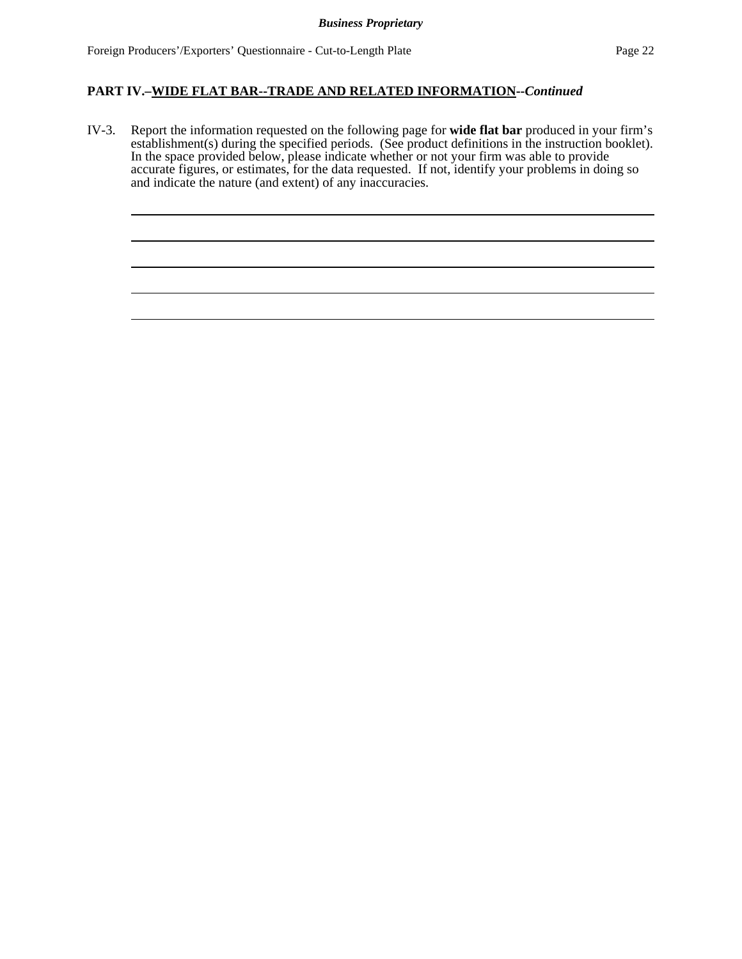### **PART IV.–WIDE FLAT BAR--TRADE AND RELATED INFORMATION--***Continued*

IV-3. Report the information requested on the following page for **wide flat bar** produced in your firm's establishment(s) during the specified periods. (See product definitions in the instruction booklet). In the space provided below, please indicate whether or not your firm was able to provide accurate figures, or estimates, for the data requested. If not, identify your problems in doing so and indicate the nature (and extent) of any inaccuracies.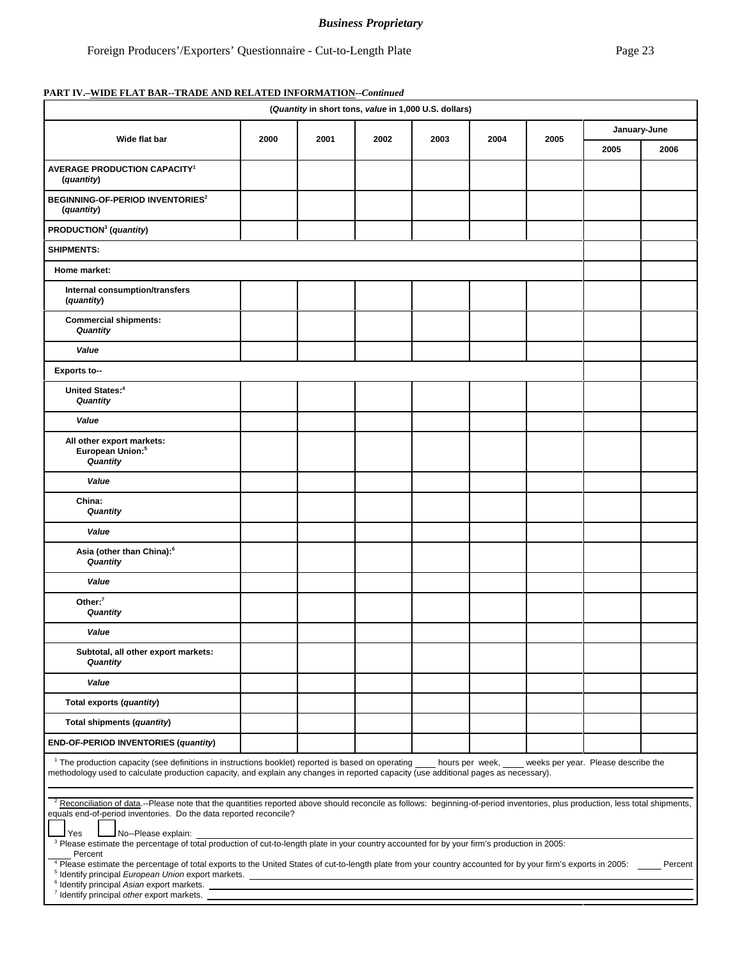# *Business Proprietary*

### **PART IV.–WIDE FLAT BAR--TRADE AND RELATED INFORMATION--***Continued*

| (Quantity in short tons, value in 1,000 U.S. dollars)                                                                                                                                                                                                                                                                                                                                                 |      |      |      |      |      |      |              |      |
|-------------------------------------------------------------------------------------------------------------------------------------------------------------------------------------------------------------------------------------------------------------------------------------------------------------------------------------------------------------------------------------------------------|------|------|------|------|------|------|--------------|------|
| Wide flat bar                                                                                                                                                                                                                                                                                                                                                                                         | 2000 | 2001 | 2002 | 2003 | 2004 | 2005 | January-June |      |
|                                                                                                                                                                                                                                                                                                                                                                                                       |      |      |      |      |      |      | 2005         | 2006 |
| <b>AVERAGE PRODUCTION CAPACITY<sup>1</sup></b><br>(quantity)                                                                                                                                                                                                                                                                                                                                          |      |      |      |      |      |      |              |      |
| <b>BEGINNING-OF-PERIOD INVENTORIES<sup>2</sup></b><br>(quantity)                                                                                                                                                                                                                                                                                                                                      |      |      |      |      |      |      |              |      |
| PRODUCTION <sup>3</sup> (quantity)                                                                                                                                                                                                                                                                                                                                                                    |      |      |      |      |      |      |              |      |
| <b>SHIPMENTS:</b>                                                                                                                                                                                                                                                                                                                                                                                     |      |      |      |      |      |      |              |      |
| Home market:                                                                                                                                                                                                                                                                                                                                                                                          |      |      |      |      |      |      |              |      |
| Internal consumption/transfers<br>(quantity)                                                                                                                                                                                                                                                                                                                                                          |      |      |      |      |      |      |              |      |
| <b>Commercial shipments:</b><br>Quantity                                                                                                                                                                                                                                                                                                                                                              |      |      |      |      |      |      |              |      |
| Value                                                                                                                                                                                                                                                                                                                                                                                                 |      |      |      |      |      |      |              |      |
| Exports to--                                                                                                                                                                                                                                                                                                                                                                                          |      |      |      |      |      |      |              |      |
| United States: <sup>4</sup><br>Quantity                                                                                                                                                                                                                                                                                                                                                               |      |      |      |      |      |      |              |      |
| Value                                                                                                                                                                                                                                                                                                                                                                                                 |      |      |      |      |      |      |              |      |
| All other export markets:<br>European Union: <sup>5</sup><br>Quantity                                                                                                                                                                                                                                                                                                                                 |      |      |      |      |      |      |              |      |
| Value                                                                                                                                                                                                                                                                                                                                                                                                 |      |      |      |      |      |      |              |      |
| China:<br>Quantity                                                                                                                                                                                                                                                                                                                                                                                    |      |      |      |      |      |      |              |      |
| Value                                                                                                                                                                                                                                                                                                                                                                                                 |      |      |      |      |      |      |              |      |
| Asia (other than China): <sup>6</sup><br>Quantity                                                                                                                                                                                                                                                                                                                                                     |      |      |      |      |      |      |              |      |
| Value                                                                                                                                                                                                                                                                                                                                                                                                 |      |      |      |      |      |      |              |      |
| Other: $7$<br>Quantity                                                                                                                                                                                                                                                                                                                                                                                |      |      |      |      |      |      |              |      |
| Value                                                                                                                                                                                                                                                                                                                                                                                                 |      |      |      |      |      |      |              |      |
| Subtotal, all other export markets:<br>Quantity                                                                                                                                                                                                                                                                                                                                                       |      |      |      |      |      |      |              |      |
| Value                                                                                                                                                                                                                                                                                                                                                                                                 |      |      |      |      |      |      |              |      |
| Total exports (quantity)                                                                                                                                                                                                                                                                                                                                                                              |      |      |      |      |      |      |              |      |
| Total shipments (quantity)                                                                                                                                                                                                                                                                                                                                                                            |      |      |      |      |      |      |              |      |
| END-OF-PERIOD INVENTORIES (quantity)                                                                                                                                                                                                                                                                                                                                                                  |      |      |      |      |      |      |              |      |
| <sup>1</sup> The production capacity (see definitions in instructions booklet) reported is based on operating<br>hours per week,<br>weeks per year. Please describe the<br>methodology used to calculate production capacity, and explain any changes in reported capacity (use additional pages as necessary).                                                                                       |      |      |      |      |      |      |              |      |
| <sup>2</sup> Reconciliation of data.--Please note that the quantities reported above should reconcile as follows: beginning-of-period inventories, plus production, less total shipments,<br>equals end-of-period inventories. Do the data reported reconcile?<br>No--Please explain:<br>Yes                                                                                                          |      |      |      |      |      |      |              |      |
| a Please estimate the percentage of total production of cut-to-length plate in your country accounted for by your firm's production in 2005:<br>Percent<br>4 Please estimate the percentage of total exports to the United States of cut-to-length plate from your country accounted for by your firm's exports in 2005:<br>Percent<br><sup>5</sup> Identify principal European Union export markets. |      |      |      |      |      |      |              |      |
| <sup>6</sup> Identify principal Asian export markets.<br><sup>7</sup> Identify principal other export markets.                                                                                                                                                                                                                                                                                        |      |      |      |      |      |      |              |      |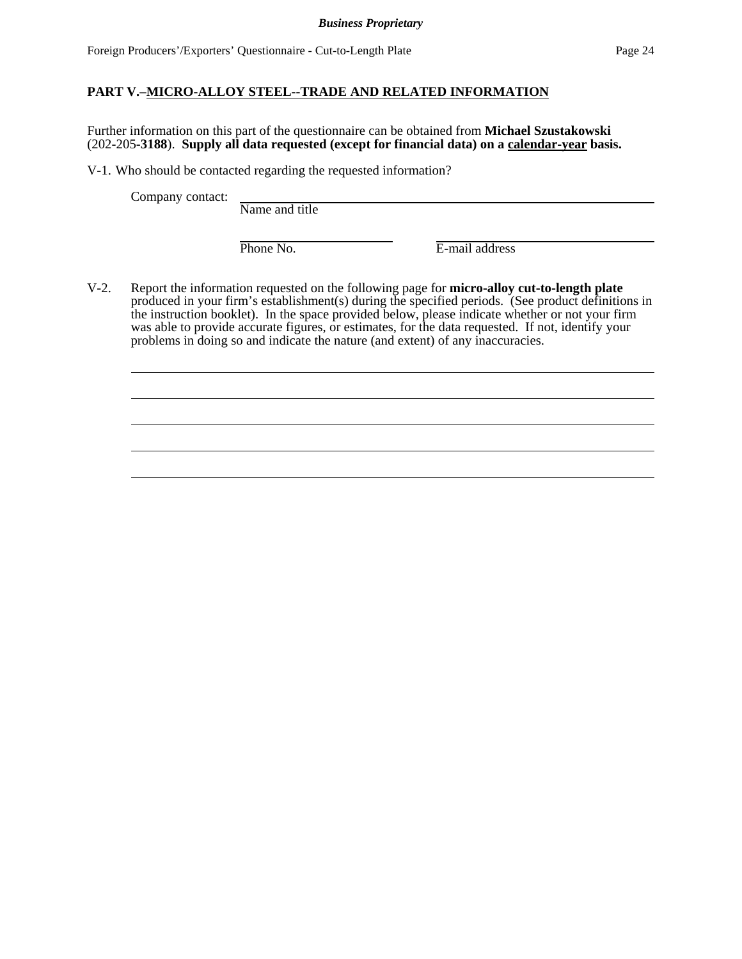## **PART V.–MICRO-ALLOY STEEL--TRADE AND RELATED INFORMATION**

Further information on this part of the questionnaire can be obtained from **Michael Szustakowski** (202-205-**3188**). **Supply all data requested (except for financial data) on a calendar-year basis.**

V-1. Who should be contacted regarding the requested information?

Company contact:

Name and title

Phone No. **E-mail address** 

V-2. Report the information requested on the following page for **micro-alloy cut-to-length plate** produced in your firm's establishment(s) during the specified periods. (See product definitions in the instruction booklet). In the space provided below, please indicate whether or not your firm was able to provide accurate figures, or estimates, for the data requested. If not, identify your problems in doing so and indicate the nature (and extent) of any inaccuracies.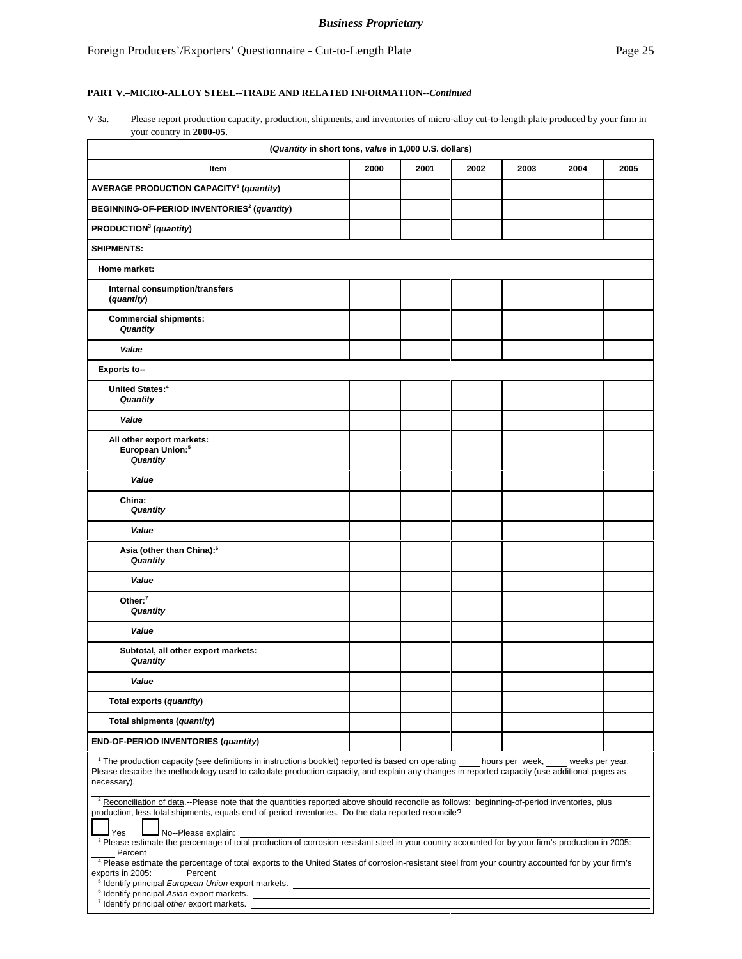### **PART V.–MICRO-ALLOY STEEL--TRADE AND RELATED INFORMATION--***Continued*

V-3a. Please report production capacity, production, shipments, and inventories of micro-alloy cut-to-length plate produced by your firm in your country in **2000-05**.

| (Quantity in short tons, value in 1,000 U.S. dollars)                                                                                                                                                                                                                                                                                                                    |      |      |      |      |      |      |
|--------------------------------------------------------------------------------------------------------------------------------------------------------------------------------------------------------------------------------------------------------------------------------------------------------------------------------------------------------------------------|------|------|------|------|------|------|
| Item                                                                                                                                                                                                                                                                                                                                                                     | 2000 | 2001 | 2002 | 2003 | 2004 | 2005 |
| <b>AVERAGE PRODUCTION CAPACITY<sup>1</sup></b> (quantity)                                                                                                                                                                                                                                                                                                                |      |      |      |      |      |      |
| BEGINNING-OF-PERIOD INVENTORIES <sup>2</sup> (quantity)                                                                                                                                                                                                                                                                                                                  |      |      |      |      |      |      |
| PRODUCTION <sup>3</sup> (quantity)                                                                                                                                                                                                                                                                                                                                       |      |      |      |      |      |      |
| <b>SHIPMENTS:</b>                                                                                                                                                                                                                                                                                                                                                        |      |      |      |      |      |      |
| Home market:                                                                                                                                                                                                                                                                                                                                                             |      |      |      |      |      |      |
| Internal consumption/transfers<br>(quantity)                                                                                                                                                                                                                                                                                                                             |      |      |      |      |      |      |
| <b>Commercial shipments:</b><br>Quantity                                                                                                                                                                                                                                                                                                                                 |      |      |      |      |      |      |
| Value                                                                                                                                                                                                                                                                                                                                                                    |      |      |      |      |      |      |
| <b>Exports to--</b>                                                                                                                                                                                                                                                                                                                                                      |      |      |      |      |      |      |
| United States: <sup>4</sup><br>Quantity                                                                                                                                                                                                                                                                                                                                  |      |      |      |      |      |      |
| Value                                                                                                                                                                                                                                                                                                                                                                    |      |      |      |      |      |      |
| All other export markets:<br>European Union: <sup>5</sup><br>Quantity                                                                                                                                                                                                                                                                                                    |      |      |      |      |      |      |
| Value                                                                                                                                                                                                                                                                                                                                                                    |      |      |      |      |      |      |
| China:<br>Quantity                                                                                                                                                                                                                                                                                                                                                       |      |      |      |      |      |      |
| Value                                                                                                                                                                                                                                                                                                                                                                    |      |      |      |      |      |      |
| Asia (other than China): <sup>6</sup><br>Quantity                                                                                                                                                                                                                                                                                                                        |      |      |      |      |      |      |
| Value                                                                                                                                                                                                                                                                                                                                                                    |      |      |      |      |      |      |
| Other: $7$<br>Quantity                                                                                                                                                                                                                                                                                                                                                   |      |      |      |      |      |      |
| Value                                                                                                                                                                                                                                                                                                                                                                    |      |      |      |      |      |      |
| Subtotal, all other export markets:<br>Quantity                                                                                                                                                                                                                                                                                                                          |      |      |      |      |      |      |
| Value                                                                                                                                                                                                                                                                                                                                                                    |      |      |      |      |      |      |
| Total exports (quantity)                                                                                                                                                                                                                                                                                                                                                 |      |      |      |      |      |      |
| Total shipments (quantity)                                                                                                                                                                                                                                                                                                                                               |      |      |      |      |      |      |
| END-OF-PERIOD INVENTORIES (quantity)                                                                                                                                                                                                                                                                                                                                     |      |      |      |      |      |      |
| <sup>1</sup> The production capacity (see definitions in instructions booklet) reported is based on operating hours per week, weeks per year.<br>Please describe the methodology used to calculate production capacity, and explain any changes in reported capacity (use additional pages as<br>necessary).                                                             |      |      |      |      |      |      |
| <sup>2</sup> Reconciliation of data.--Please note that the quantities reported above should reconcile as follows: beginning-of-period inventories, plus<br>production, less total shipments, equals end-of-period inventories. Do the data reported reconcile?<br>Yes<br>No--Please explain:                                                                             |      |      |      |      |      |      |
| <sup>3</sup> Please estimate the percentage of total production of corrosion-resistant steel in your country accounted for by your firm's production in 2005:<br>Percent<br><sup>4</sup> Please estimate the percentage of total exports to the United States of corrosion-resistant steel from your country accounted for by your firm's<br>Percent<br>exports in 2005: |      |      |      |      |      |      |
| <sup>5</sup> Identify principal European Union export markets.<br><sup>6</sup> Identify principal Asian export markets.<br><sup>7</sup> Identify principal other export markets.                                                                                                                                                                                         |      |      |      |      |      |      |